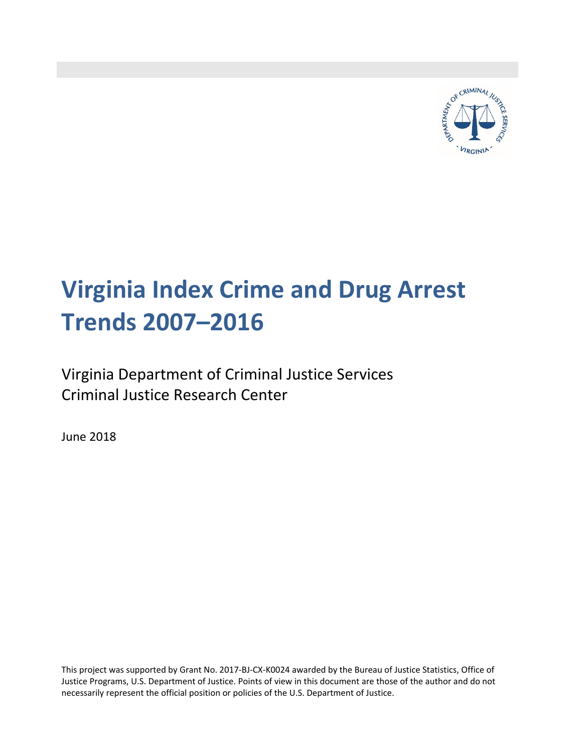

# **Virginia Index Crime and Drug Arrest Trends 2007–2016**

Virginia Department of Criminal Justice Services Criminal Justice Research Center

June 2018

This project was supported by Grant No. 2017‐BJ‐CX‐K0024 awarded by the Bureau of Justice Statistics, Office of Justice Programs, U.S. Department of Justice. Points of view in this document are those of the author and do not necessarily represent the official position or policies of the U.S. Department of Justice.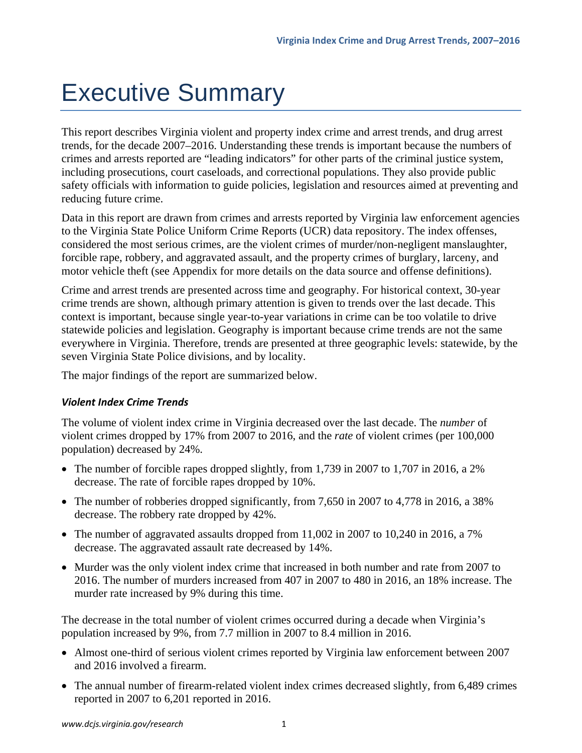# Executive Summary

This report describes Virginia violent and property index crime and arrest trends, and drug arrest trends, for the decade 2007–2016. Understanding these trends is important because the numbers of crimes and arrests reported are "leading indicators" for other parts of the criminal justice system, including prosecutions, court caseloads, and correctional populations. They also provide public safety officials with information to guide policies, legislation and resources aimed at preventing and reducing future crime.

Data in this report are drawn from crimes and arrests reported by Virginia law enforcement agencies to the Virginia State Police Uniform Crime Reports (UCR) data repository. The index offenses, considered the most serious crimes, are the violent crimes of murder/non-negligent manslaughter, forcible rape, robbery, and aggravated assault, and the property crimes of burglary, larceny, and motor vehicle theft (see Appendix for more details on the data source and offense definitions).

Crime and arrest trends are presented across time and geography. For historical context, 30-year crime trends are shown, although primary attention is given to trends over the last decade. This context is important, because single year-to-year variations in crime can be too volatile to drive statewide policies and legislation. Geography is important because crime trends are not the same everywhere in Virginia. Therefore, trends are presented at three geographic levels: statewide, by the seven Virginia State Police divisions, and by locality.

The major findings of the report are summarized below.

# *Violent Index Crime Trends*

The volume of violent index crime in Virginia decreased over the last decade. The *number* of violent crimes dropped by 17% from 2007 to 2016, and the *rate* of violent crimes (per 100,000 population) decreased by 24%.

- The number of forcible rapes dropped slightly, from 1,739 in 2007 to 1,707 in 2016, a 2% decrease. The rate of forcible rapes dropped by 10%.
- The number of robberies dropped significantly, from 7,650 in 2007 to 4,778 in 2016, a 38% decrease. The robbery rate dropped by 42%.
- The number of aggravated assaults dropped from 11,002 in 2007 to 10,240 in 2016, a 7% decrease. The aggravated assault rate decreased by 14%.
- Murder was the only violent index crime that increased in both number and rate from 2007 to 2016. The number of murders increased from 407 in 2007 to 480 in 2016, an 18% increase. The murder rate increased by 9% during this time.

The decrease in the total number of violent crimes occurred during a decade when Virginia's population increased by 9%, from 7.7 million in 2007 to 8.4 million in 2016.

- Almost one-third of serious violent crimes reported by Virginia law enforcement between 2007 and 2016 involved a firearm.
- The annual number of firearm-related violent index crimes decreased slightly, from 6,489 crimes reported in 2007 to 6,201 reported in 2016.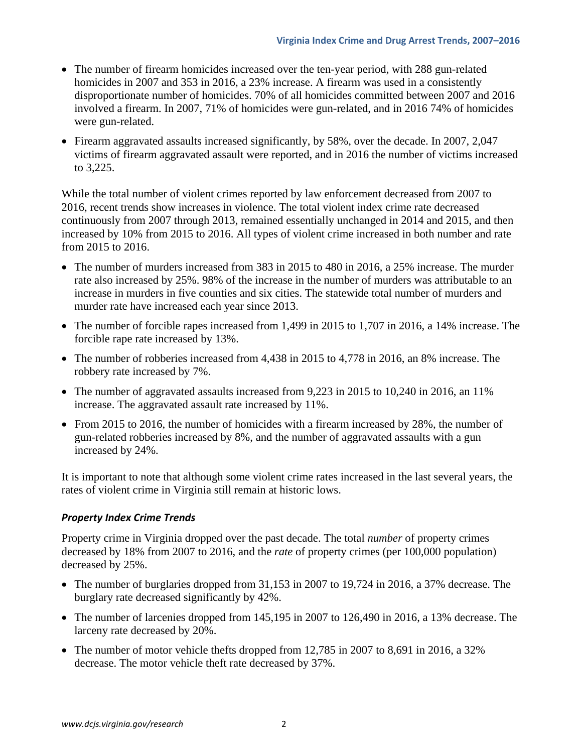- The number of firearm homicides increased over the ten-year period, with 288 gun-related homicides in 2007 and 353 in 2016, a 23% increase. A firearm was used in a consistently disproportionate number of homicides. 70% of all homicides committed between 2007 and 2016 involved a firearm. In 2007, 71% of homicides were gun-related, and in 2016 74% of homicides were gun-related.
- Firearm aggravated assaults increased significantly, by 58%, over the decade. In 2007, 2,047 victims of firearm aggravated assault were reported, and in 2016 the number of victims increased to 3,225.

While the total number of violent crimes reported by law enforcement decreased from 2007 to 2016, recent trends show increases in violence. The total violent index crime rate decreased continuously from 2007 through 2013, remained essentially unchanged in 2014 and 2015, and then increased by 10% from 2015 to 2016. All types of violent crime increased in both number and rate from 2015 to 2016.

- The number of murders increased from 383 in 2015 to 480 in 2016, a 25% increase. The murder rate also increased by 25%. 98% of the increase in the number of murders was attributable to an increase in murders in five counties and six cities. The statewide total number of murders and murder rate have increased each year since 2013.
- The number of forcible rapes increased from 1,499 in 2015 to 1,707 in 2016, a 14% increase. The forcible rape rate increased by 13%.
- The number of robberies increased from 4,438 in 2015 to 4,778 in 2016, an 8% increase. The robbery rate increased by 7%.
- The number of aggravated assaults increased from 9,223 in 2015 to 10,240 in 2016, an 11% increase. The aggravated assault rate increased by 11%.
- From 2015 to 2016, the number of homicides with a firearm increased by 28%, the number of gun-related robberies increased by 8%, and the number of aggravated assaults with a gun increased by 24%.

It is important to note that although some violent crime rates increased in the last several years, the rates of violent crime in Virginia still remain at historic lows.

# *Property Index Crime Trends*

Property crime in Virginia dropped over the past decade. The total *number* of property crimes decreased by 18% from 2007 to 2016, and the *rate* of property crimes (per 100,000 population) decreased by 25%.

- The number of burglaries dropped from 31,153 in 2007 to 19,724 in 2016, a 37% decrease. The burglary rate decreased significantly by 42%.
- The number of larcenies dropped from 145,195 in 2007 to 126,490 in 2016, a 13% decrease. The larceny rate decreased by 20%.
- The number of motor vehicle thefts dropped from 12,785 in 2007 to 8,691 in 2016, a 32% decrease. The motor vehicle theft rate decreased by 37%.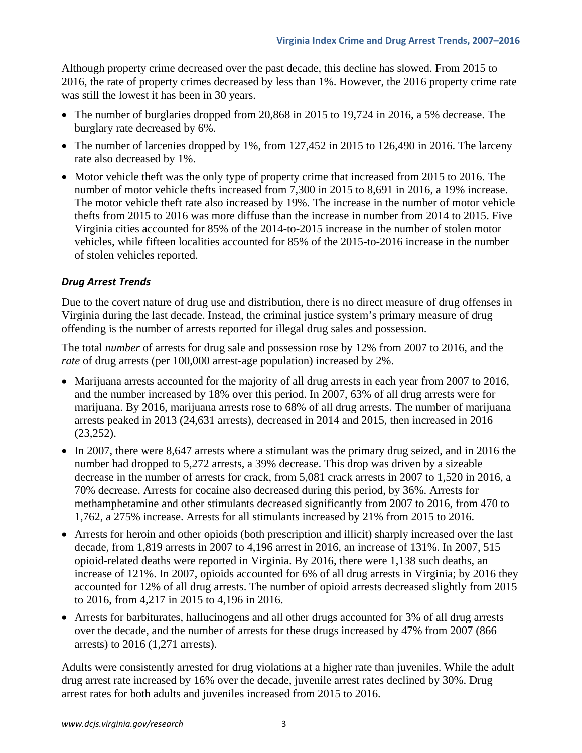Although property crime decreased over the past decade, this decline has slowed. From 2015 to 2016, the rate of property crimes decreased by less than 1%. However, the 2016 property crime rate was still the lowest it has been in 30 years.

- The number of burglaries dropped from 20,868 in 2015 to 19,724 in 2016, a 5% decrease. The burglary rate decreased by 6%.
- The number of larcenies dropped by 1%, from 127,452 in 2015 to 126,490 in 2016. The larceny rate also decreased by 1%.
- Motor vehicle theft was the only type of property crime that increased from 2015 to 2016. The number of motor vehicle thefts increased from 7,300 in 2015 to 8,691 in 2016, a 19% increase. The motor vehicle theft rate also increased by 19%. The increase in the number of motor vehicle thefts from 2015 to 2016 was more diffuse than the increase in number from 2014 to 2015. Five Virginia cities accounted for 85% of the 2014-to-2015 increase in the number of stolen motor vehicles, while fifteen localities accounted for 85% of the 2015-to-2016 increase in the number of stolen vehicles reported.

# *Drug Arrest Trends*

Due to the covert nature of drug use and distribution, there is no direct measure of drug offenses in Virginia during the last decade. Instead, the criminal justice system's primary measure of drug offending is the number of arrests reported for illegal drug sales and possession.

The total *number* of arrests for drug sale and possession rose by 12% from 2007 to 2016, and the *rate* of drug arrests (per 100,000 arrest-age population) increased by 2%.

- Marijuana arrests accounted for the majority of all drug arrests in each year from 2007 to 2016, and the number increased by 18% over this period. In 2007, 63% of all drug arrests were for marijuana. By 2016, marijuana arrests rose to 68% of all drug arrests. The number of marijuana arrests peaked in 2013 (24,631 arrests), decreased in 2014 and 2015, then increased in 2016 (23,252).
- In 2007, there were 8,647 arrests where a stimulant was the primary drug seized, and in 2016 the number had dropped to 5,272 arrests, a 39% decrease. This drop was driven by a sizeable decrease in the number of arrests for crack, from 5,081 crack arrests in 2007 to 1,520 in 2016, a 70% decrease. Arrests for cocaine also decreased during this period, by 36%. Arrests for methamphetamine and other stimulants decreased significantly from 2007 to 2016, from 470 to 1,762, a 275% increase. Arrests for all stimulants increased by 21% from 2015 to 2016.
- Arrests for heroin and other opioids (both prescription and illicit) sharply increased over the last decade, from 1,819 arrests in 2007 to 4,196 arrest in 2016, an increase of 131%. In 2007, 515 opioid-related deaths were reported in Virginia. By 2016, there were 1,138 such deaths, an increase of 121%. In 2007, opioids accounted for 6% of all drug arrests in Virginia; by 2016 they accounted for 12% of all drug arrests. The number of opioid arrests decreased slightly from 2015 to 2016, from 4,217 in 2015 to 4,196 in 2016.
- Arrests for barbiturates, hallucinogens and all other drugs accounted for 3% of all drug arrests over the decade, and the number of arrests for these drugs increased by 47% from 2007 (866 arrests) to 2016 (1,271 arrests).

Adults were consistently arrested for drug violations at a higher rate than juveniles. While the adult drug arrest rate increased by 16% over the decade, juvenile arrest rates declined by 30%. Drug arrest rates for both adults and juveniles increased from 2015 to 2016.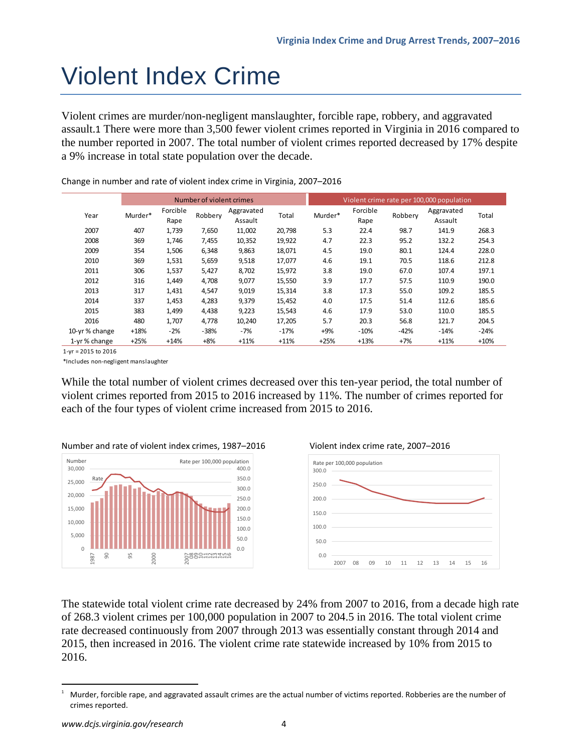# Violent Index Crime

Violent crimes are murder/non-negligent manslaughter, forcible rape, robbery, and aggravated assault.1 There were more than 3,500 fewer violent crimes reported in Virginia in 2016 compared to the number reported in 2007. The total number of violent crimes reported decreased by 17% despite a 9% increase in total state population over the decade.

|               |         |                  | Number of violent crimes |                       |        | Violent crime rate per 100,000 population |                  |         |                       |        |
|---------------|---------|------------------|--------------------------|-----------------------|--------|-------------------------------------------|------------------|---------|-----------------------|--------|
| Year          | Murder* | Forcible<br>Rape | Robbery                  | Aggravated<br>Assault | Total  | Murder*                                   | Forcible<br>Rape | Robbery | Aggravated<br>Assault | Total  |
| 2007          | 407     | 1,739            | 7,650                    | 11,002                | 20,798 | 5.3                                       | 22.4             | 98.7    | 141.9                 | 268.3  |
| 2008          | 369     | 1,746            | 7,455                    | 10,352                | 19,922 | 4.7                                       | 22.3             | 95.2    | 132.2                 | 254.3  |
| 2009          | 354     | 1,506            | 6,348                    | 9,863                 | 18,071 | 4.5                                       | 19.0             | 80.1    | 124.4                 | 228.0  |
| 2010          | 369     | 1,531            | 5,659                    | 9,518                 | 17,077 | 4.6                                       | 19.1             | 70.5    | 118.6                 | 212.8  |
| 2011          | 306     | 1,537            | 5,427                    | 8,702                 | 15,972 | 3.8                                       | 19.0             | 67.0    | 107.4                 | 197.1  |
| 2012          | 316     | 1,449            | 4,708                    | 9,077                 | 15,550 | 3.9                                       | 17.7             | 57.5    | 110.9                 | 190.0  |
| 2013          | 317     | 1,431            | 4,547                    | 9,019                 | 15,314 | 3.8                                       | 17.3             | 55.0    | 109.2                 | 185.5  |
| 2014          | 337     | 1,453            | 4,283                    | 9,379                 | 15,452 | 4.0                                       | 17.5             | 51.4    | 112.6                 | 185.6  |
| 2015          | 383     | 1,499            | 4,438                    | 9,223                 | 15,543 | 4.6                                       | 17.9             | 53.0    | 110.0                 | 185.5  |
| 2016          | 480     | 1.707            | 4.778                    | 10.240                | 17,205 | 5.7                                       | 20.3             | 56.8    | 121.7                 | 204.5  |
| 10-yr% change | $+18%$  | $-2%$            | $-38%$                   | -7%                   | $-17%$ | $+9%$                                     | $-10%$           | $-42%$  | $-14%$                | $-24%$ |
| 1-yr% change  | $+25%$  | $+14%$           | $+8%$                    | $+11%$                | $+11%$ | $+25%$                                    | $+13%$           | $+7%$   | $+11%$                | $+10%$ |

Change in number and rate of violent index crime in Virginia, 2007–2016

1‐yr = 2015 to 2016

\*Includes non‐negligent manslaughter

While the total number of violent crimes decreased over this ten-year period, the total number of violent crimes reported from 2015 to 2016 increased by 11%. The number of crimes reported for each of the four types of violent crime increased from 2015 to 2016.









The statewide total violent crime rate decreased by 24% from 2007 to 2016, from a decade high rate of 268.3 violent crimes per 100,000 population in 2007 to 204.5 in 2016. The total violent crime rate decreased continuously from 2007 through 2013 was essentially constant through 2014 and 2015, then increased in 2016. The violent crime rate statewide increased by 10% from 2015 to 2016.

<sup>1</sup> Murder, forcible rape, and aggravated assault crimes are the actual number of victims reported. Robberies are the number of crimes reported.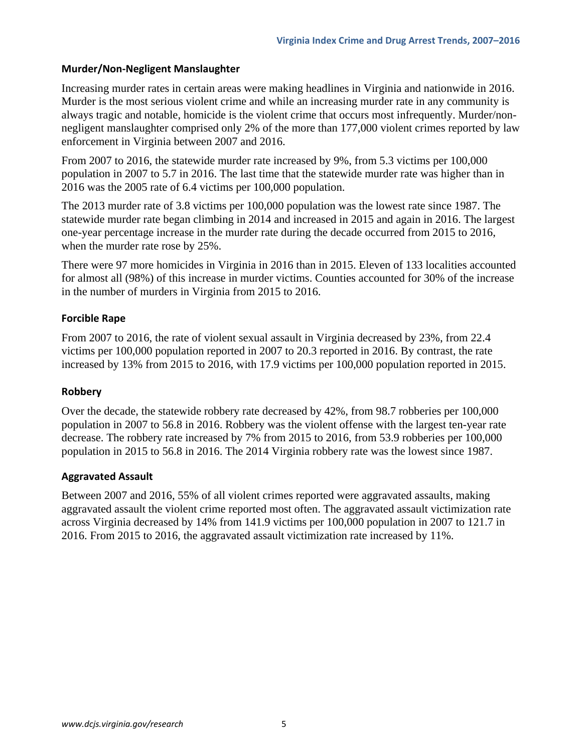### **Murder/Non‐Negligent Manslaughter**

Increasing murder rates in certain areas were making headlines in Virginia and nationwide in 2016. Murder is the most serious violent crime and while an increasing murder rate in any community is always tragic and notable, homicide is the violent crime that occurs most infrequently. Murder/nonnegligent manslaughter comprised only 2% of the more than 177,000 violent crimes reported by law enforcement in Virginia between 2007 and 2016.

From 2007 to 2016, the statewide murder rate increased by 9%, from 5.3 victims per 100,000 population in 2007 to 5.7 in 2016. The last time that the statewide murder rate was higher than in 2016 was the 2005 rate of 6.4 victims per 100,000 population.

The 2013 murder rate of 3.8 victims per 100,000 population was the lowest rate since 1987. The statewide murder rate began climbing in 2014 and increased in 2015 and again in 2016. The largest one-year percentage increase in the murder rate during the decade occurred from 2015 to 2016, when the murder rate rose by 25%.

There were 97 more homicides in Virginia in 2016 than in 2015. Eleven of 133 localities accounted for almost all (98%) of this increase in murder victims. Counties accounted for 30% of the increase in the number of murders in Virginia from 2015 to 2016.

### **Forcible Rape**

From 2007 to 2016, the rate of violent sexual assault in Virginia decreased by 23%, from 22.4 victims per 100,000 population reported in 2007 to 20.3 reported in 2016. By contrast, the rate increased by 13% from 2015 to 2016, with 17.9 victims per 100,000 population reported in 2015.

### **Robbery**

Over the decade, the statewide robbery rate decreased by 42%, from 98.7 robberies per 100,000 population in 2007 to 56.8 in 2016. Robbery was the violent offense with the largest ten-year rate decrease. The robbery rate increased by 7% from 2015 to 2016, from 53.9 robberies per 100,000 population in 2015 to 56.8 in 2016. The 2014 Virginia robbery rate was the lowest since 1987.

# **Aggravated Assault**

Between 2007 and 2016, 55% of all violent crimes reported were aggravated assaults, making aggravated assault the violent crime reported most often. The aggravated assault victimization rate across Virginia decreased by 14% from 141.9 victims per 100,000 population in 2007 to 121.7 in 2016. From 2015 to 2016, the aggravated assault victimization rate increased by 11%.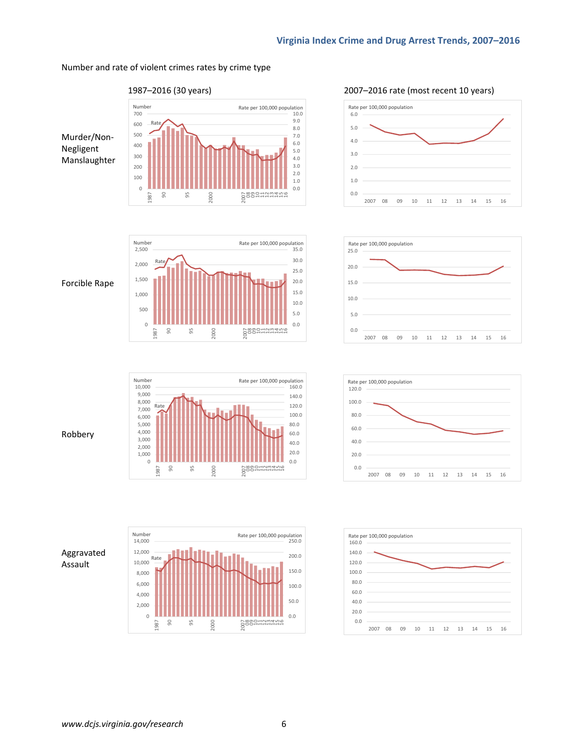#### Number and rate of violent crimes rates by crime type





2000

0.0 1.0 2.0 3.0 4.0 5.0 6.0 7.0 8.0 9.0

2<br>2<br>2<br>2<br>2

Forcible Rape



#### Robbery

Aggravated Assault







95

2000

9,000 10,000

> 1987 90





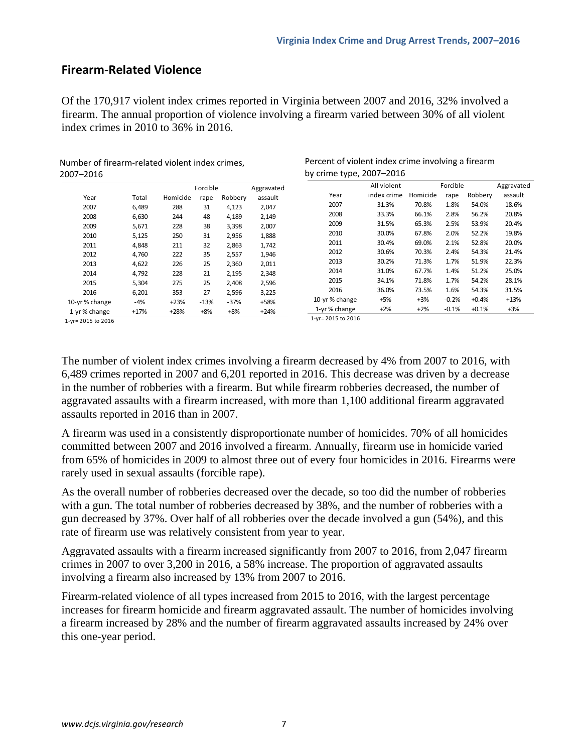# **Firearm‐Related Violence**

Of the 170,917 violent index crimes reported in Virginia between 2007 and 2016, 32% involved a firearm. The annual proportion of violence involving a firearm varied between 30% of all violent index crimes in 2010 to 36% in 2016.

Number of firearm‐related violent index crimes, 2007–2016

|                    |        |          | Forcible |         | Aggravated |
|--------------------|--------|----------|----------|---------|------------|
| Year               | Total  | Homicide | rape     | Robbery | assault    |
| 2007               | 6,489  | 288      | 31       | 4,123   | 2,047      |
| 2008               | 6,630  | 244      | 48       | 4,189   | 2,149      |
| 2009               | 5,671  | 228      | 38       | 3,398   | 2,007      |
| 2010               | 5,125  | 250      | 31       | 2,956   | 1,888      |
| 2011               | 4,848  | 211      | 32       | 2,863   | 1,742      |
| 2012               | 4,760  | 222      | 35       | 2,557   | 1,946      |
| 2013               | 4,622  | 226      | 25       | 2,360   | 2,011      |
| 2014               | 4.792  | 228      | 21       | 2,195   | 2,348      |
| 2015               | 5,304  | 275      | 25       | 2,408   | 2,596      |
| 2016               | 6,201  | 353      | 27       | 2,596   | 3,225      |
| 10-yr% change      | $-4%$  | $+23%$   | $-13%$   | $-37%$  | +58%       |
| 1-yr% change       | $+17%$ | $+28%$   | $+8%$    | $+8%$   | $+24%$     |
| 1-vr= 2015 to 2016 |        |          |          |         |            |

| Percent of violent index crime involving a firearm |
|----------------------------------------------------|
| by crime type, 2007-2016                           |

|                    | All violent |          | Forcible |         | Aggravated |
|--------------------|-------------|----------|----------|---------|------------|
| Year               | index crime | Homicide | rape     | Robbery | assault    |
| 2007               | 31.3%       | 70.8%    | 1.8%     | 54.0%   | 18.6%      |
| 2008               | 33.3%       | 66.1%    | 2.8%     | 56.2%   | 20.8%      |
| 2009               | 31.5%       | 65.3%    | 2.5%     | 53.9%   | 20.4%      |
| 2010               | 30.0%       | 67.8%    | 2.0%     | 52.2%   | 19.8%      |
| 2011               | 30.4%       | 69.0%    | 2.1%     | 52.8%   | 20.0%      |
| 2012               | 30.6%       | 70.3%    | 2.4%     | 54.3%   | 21.4%      |
| 2013               | 30.2%       | 71.3%    | 1.7%     | 51.9%   | 22.3%      |
| 2014               | 31.0%       | 67.7%    | 1.4%     | 51.2%   | 25.0%      |
| 2015               | 34.1%       | 71.8%    | 1.7%     | 54.2%   | 28.1%      |
| 2016               | 36.0%       | 73.5%    | 1.6%     | 54.3%   | 31.5%      |
| 10-yr% change      | $+5%$       | $+3%$    | $-0.2%$  | $+0.4%$ | $+13%$     |
| 1-yr% change       | $+2%$       | $+2%$    | $-0.1%$  | $+0.1%$ | $+3%$      |
| 1-yr= 2015 to 2016 |             |          |          |         |            |

1‐yr= 2015 to 2016

The number of violent index crimes involving a firearm decreased by 4% from 2007 to 2016, with 6,489 crimes reported in 2007 and 6,201 reported in 2016. This decrease was driven by a decrease in the number of robberies with a firearm. But while firearm robberies decreased, the number of aggravated assaults with a firearm increased, with more than 1,100 additional firearm aggravated assaults reported in 2016 than in 2007.

A firearm was used in a consistently disproportionate number of homicides. 70% of all homicides committed between 2007 and 2016 involved a firearm. Annually, firearm use in homicide varied from 65% of homicides in 2009 to almost three out of every four homicides in 2016. Firearms were rarely used in sexual assaults (forcible rape).

As the overall number of robberies decreased over the decade, so too did the number of robberies with a gun. The total number of robberies decreased by 38%, and the number of robberies with a gun decreased by 37%. Over half of all robberies over the decade involved a gun (54%), and this rate of firearm use was relatively consistent from year to year.

Aggravated assaults with a firearm increased significantly from 2007 to 2016, from 2,047 firearm crimes in 2007 to over 3,200 in 2016, a 58% increase. The proportion of aggravated assaults involving a firearm also increased by 13% from 2007 to 2016.

Firearm-related violence of all types increased from 2015 to 2016, with the largest percentage increases for firearm homicide and firearm aggravated assault. The number of homicides involving a firearm increased by 28% and the number of firearm aggravated assaults increased by 24% over this one-year period.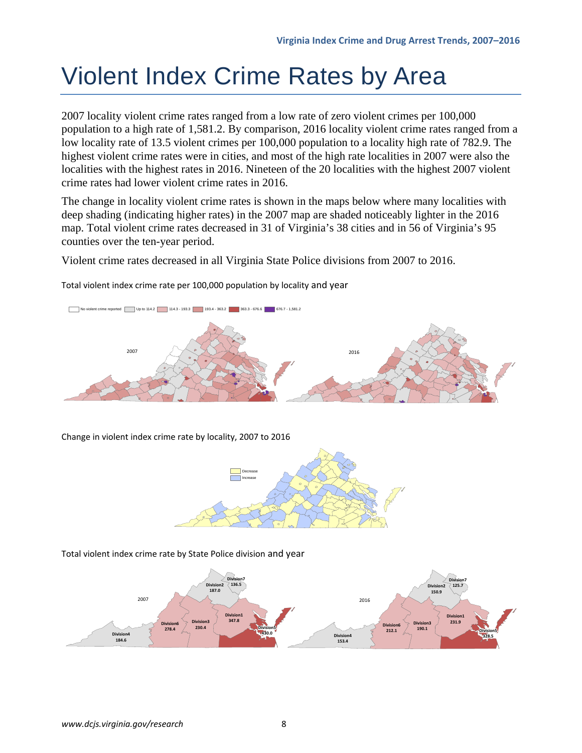# Violent Index Crime Rates by Area

2007 locality violent crime rates ranged from a low rate of zero violent crimes per 100,000 population to a high rate of 1,581.2. By comparison, 2016 locality violent crime rates ranged from a low locality rate of 13.5 violent crimes per 100,000 population to a locality high rate of 782.9. The highest violent crime rates were in cities, and most of the high rate localities in 2007 were also the localities with the highest rates in 2016. Nineteen of the 20 localities with the highest 2007 violent crime rates had lower violent crime rates in 2016.

The change in locality violent crime rates is shown in the maps below where many localities with deep shading (indicating higher rates) in the 2007 map are shaded noticeably lighter in the 2016 map. Total violent crime rates decreased in 31 of Virginia's 38 cities and in 56 of Virginia's 95 counties over the ten-year period.

Violent crime rates decreased in all Virginia State Police divisions from 2007 to 2016.

Total violent index crime rate per 100,000 population by locality and year



Change in violent index crime rate by locality, 2007 to 2016



Total violent index crime rate by State Police division and year

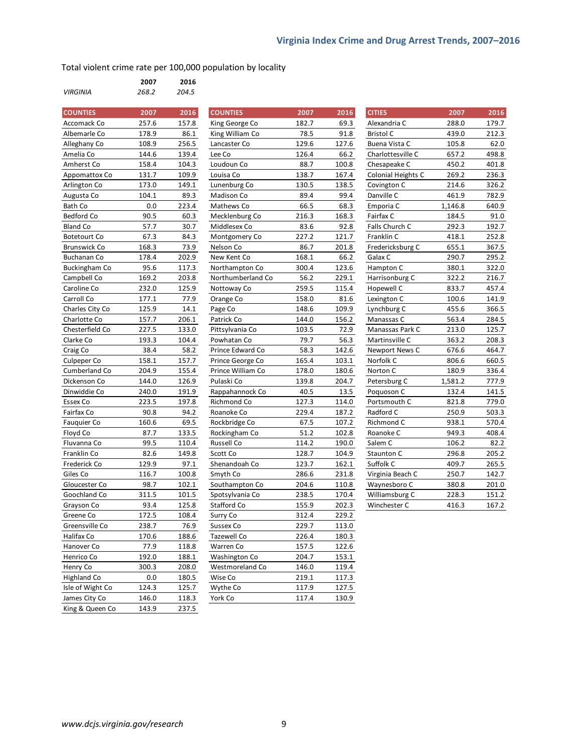Total violent crime rate per 100,000 population by locality

|                 | 2007  | 2016  |
|-----------------|-------|-------|
| <b>VIRGINIA</b> | 268.2 | 204.5 |

| <b>COUNTIES</b>      | 2007  | 2016  | <b>COUNTIES</b>      | 2007  | 2016  | <b>CITIES</b>      | 2007    | 2016  |
|----------------------|-------|-------|----------------------|-------|-------|--------------------|---------|-------|
| Accomack Co          | 257.6 | 157.8 | King George Co       | 182.7 | 69.3  | Alexandria C       | 288.0   | 179.7 |
| Albemarle Co         | 178.9 | 86.1  | King William Co      | 78.5  | 91.8  | <b>Bristol C</b>   | 439.0   | 212.3 |
| Alleghany Co         | 108.9 | 256.5 | Lancaster Co         | 129.6 | 127.6 | Buena Vista C      | 105.8   | 62.0  |
| Amelia Co            | 144.6 | 139.4 | Lee Co               | 126.4 | 66.2  | Charlottesville C  | 657.2   | 498.8 |
| Amherst Co           | 158.4 | 104.3 | Loudoun Co           | 88.7  | 100.8 | Chesapeake C       | 450.2   | 401.8 |
| Appomattox Co        | 131.7 | 109.9 | Louisa Co            | 138.7 | 167.4 | Colonial Heights C | 269.2   | 236.3 |
| Arlington Co         | 173.0 | 149.1 | Lunenburg Co         | 130.5 | 138.5 | Covington C        | 214.6   | 326.2 |
| Augusta Co           | 104.1 | 89.3  | Madison Co           | 89.4  | 99.4  | Danville C         | 461.9   | 782.9 |
| Bath Co              | 0.0   | 223.4 | Mathews Co           | 66.5  | 68.3  | Emporia C          | 1,146.8 | 640.9 |
| Bedford Co           | 90.5  | 60.3  | Mecklenburg Co       | 216.3 | 168.3 | Fairfax C          | 184.5   | 91.0  |
| <b>Bland Co</b>      | 57.7  | 30.7  | Middlesex Co         | 83.6  | 92.8  | Falls Church C     | 292.3   | 192.7 |
| <b>Botetourt Co</b>  | 67.3  | 84.3  | Montgomery Co        | 227.2 | 121.7 | Franklin C         | 418.1   | 252.8 |
| <b>Brunswick Co</b>  | 168.3 | 73.9  | Nelson Co            | 86.7  | 201.8 | Fredericksburg C   | 655.1   | 367.5 |
| <b>Buchanan Co</b>   | 178.4 | 202.9 | New Kent Co          | 168.1 | 66.2  | Galax C            | 290.7   | 295.2 |
| <b>Buckingham Co</b> | 95.6  | 117.3 | Northampton Co       | 300.4 | 123.6 | Hampton C          | 380.1   | 322.0 |
| Campbell Co          | 169.2 | 203.8 | Northumberland Co    | 56.2  | 229.1 | Harrisonburg C     | 322.2   | 216.7 |
| Caroline Co          | 232.0 | 125.9 | Nottoway Co          | 259.5 | 115.4 | Hopewell C         | 833.7   | 457.4 |
| Carroll Co           | 177.1 | 77.9  | Orange Co            | 158.0 | 81.6  | Lexington C        | 100.6   | 141.9 |
| Charles City Co      | 125.9 | 14.1  | Page Co              | 148.6 | 109.9 | Lynchburg C        | 455.6   | 366.5 |
| Charlotte Co         | 157.7 | 206.1 | Patrick Co           | 144.0 | 156.2 | Manassas C         | 563.4   | 284.5 |
| Chesterfield Co      | 227.5 | 133.0 | Pittsylvania Co      | 103.5 | 72.9  | Manassas Park C    | 213.0   | 125.7 |
| Clarke Co            | 193.3 | 104.4 | Powhatan Co          | 79.7  | 56.3  | Martinsville C     | 363.2   | 208.3 |
| Craig Co             | 38.4  | 58.2  | Prince Edward Co     | 58.3  | 142.6 | Newport News C     | 676.6   | 464.7 |
| Culpeper Co          | 158.1 | 157.7 | Prince George Co     | 165.4 | 103.1 | Norfolk C          | 806.6   | 660.5 |
| Cumberland Co        | 204.9 | 155.4 | Prince William Co    | 178.0 | 180.6 | Norton C           | 180.9   | 336.4 |
| Dickenson Co         | 144.0 | 126.9 | Pulaski Co           | 139.8 | 204.7 | Petersburg C       | 1,581.2 | 777.9 |
| Dinwiddie Co         | 240.0 | 191.9 | Rappahannock Co      | 40.5  | 13.5  | Poquoson C         | 132.4   | 141.5 |
| Essex Co             | 223.5 | 197.8 | Richmond Co          | 127.3 | 114.0 | Portsmouth C       | 821.8   | 779.0 |
| Fairfax Co           | 90.8  | 94.2  | Roanoke Co           | 229.4 | 187.2 | Radford C          | 250.9   | 503.3 |
| Fauquier Co          | 160.6 | 69.5  | Rockbridge Co        | 67.5  | 107.2 | Richmond C         | 938.1   | 570.4 |
| Floyd Co             | 87.7  | 133.5 | Rockingham Co        | 51.2  | 102.8 | Roanoke C          | 949.3   | 408.4 |
| Fluvanna Co          | 99.5  | 110.4 | Russell Co           | 114.2 | 190.0 | Salem C            | 106.2   | 82.2  |
| Franklin Co          | 82.6  | 149.8 | Scott Co             | 128.7 | 104.9 | Staunton C         | 296.8   | 205.2 |
| Frederick Co         | 129.9 | 97.1  | Shenandoah Co        | 123.7 | 162.1 | Suffolk C          | 409.7   | 265.5 |
| Giles Co             | 116.7 | 100.8 | Smyth Co             | 286.6 | 231.8 | Virginia Beach C   | 250.7   | 142.7 |
| Gloucester Co        | 98.7  | 102.1 | Southampton Co       | 204.6 | 110.8 | Waynesboro C       | 380.8   | 201.0 |
| Goochland Co         | 311.5 | 101.5 | Spotsylvania Co      | 238.5 | 170.4 | Williamsburg C     | 228.3   | 151.2 |
| Grayson Co           | 93.4  | 125.8 | Stafford Co          | 155.9 | 202.3 | Winchester C       | 416.3   | 167.2 |
| Greene Co            | 172.5 | 108.4 | Surry Co             | 312.4 | 229.2 |                    |         |       |
| Greensville Co       | 238.7 | 76.9  | Sussex Co            | 229.7 | 113.0 |                    |         |       |
| Halifax Co           | 170.6 | 188.6 | Tazewell Co          | 226.4 | 180.3 |                    |         |       |
| Hanover Co           | 77.9  | 118.8 | Warren Co            | 157.5 | 122.6 |                    |         |       |
| Henrico Co           | 192.0 | 188.1 | <b>Washington Co</b> | 204.7 | 153.1 |                    |         |       |
| Henry Co             | 300.3 | 208.0 | Westmoreland Co      | 146.0 | 119.4 |                    |         |       |
| <b>Highland Co</b>   | 0.0   | 180.5 | Wise Co              | 219.1 | 117.3 |                    |         |       |
| Isle of Wight Co     | 124.3 | 125.7 | Wythe Co             | 117.9 | 127.5 |                    |         |       |
| James City Co        | 146.0 | 118.3 | York Co              | 117.4 | 130.9 |                    |         |       |
| King & Queen Co      | 143.9 | 237.5 |                      |       |       |                    |         |       |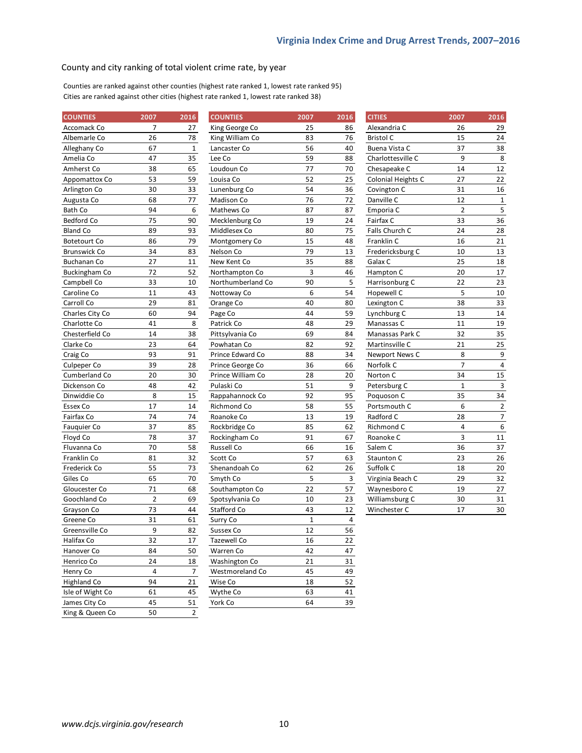#### County and city ranking of total violent crime rate, by year

Counties are ranked against other counties (highest rate ranked 1, lowest rate ranked 95) Cities are ranked against other cities (highest rate ranked 1, lowest rate ranked 38)

| <b>COUNTIES</b>     | 2007           | 2016           | <b>COUNTIES</b>   | 2007        | 2016         | <b>CITIES</b>             | 2007           | 2016             |
|---------------------|----------------|----------------|-------------------|-------------|--------------|---------------------------|----------------|------------------|
| Accomack Co         | 7              | 27             | King George Co    | 25          | 86           | Alexandria C              | 26             | 29               |
| Albemarle Co        | 26             | 78             | King William Co   | 83          | 76           | <b>Bristol C</b>          | 15             | 24               |
| Alleghany Co        | 67             | $\mathbf 1$    | Lancaster Co      | 56          | 40           | Buena Vista C             | 37             | 38               |
| Amelia Co           | 47             | 35             | Lee Co            | 59          | 88           | Charlottesville C         | 9              | 8                |
| Amherst Co          | 38             | 65             | Loudoun Co        | 77          | 70           | Chesapeake C              | 14             | 12               |
| Appomattox Co       | 53             | 59             | Louisa Co         | 52          | 25           | <b>Colonial Heights C</b> | 27             | 22               |
| Arlington Co        | 30             | 33             | Lunenburg Co      | 54          | 36           | Covington C               | 31             | 16               |
| Augusta Co          | 68             | 77             | Madison Co        | 76          | 72           | Danville C                | 12             | $\mathbf{1}$     |
| Bath Co             | 94             | 6              | Mathews Co        | 87          | 87           | Emporia C                 | $\overline{2}$ | 5                |
| Bedford Co          | 75             | 90             | Mecklenburg Co    | 19          | 24           | Fairfax C                 | 33             | 36               |
| <b>Bland Co</b>     | 89             | 93             | Middlesex Co      | 80          | 75           | Falls Church C            | 24             | 28               |
| <b>Botetourt Co</b> | 86             | 79             | Montgomery Co     | 15          | 48           | Franklin C                | 16             | 21               |
| <b>Brunswick Co</b> | 34             | 83             | Nelson Co         | 79          | 13           | Fredericksburg C          | 10             | 13               |
| <b>Buchanan Co</b>  | 27             | 11             | New Kent Co       | 35          | 88           | Galax C                   | 25             | 18               |
| Buckingham Co       | 72             | 52             | Northampton Co    | 3           | 46           | Hampton C                 | 20             | 17               |
| Campbell Co         | 33             | 10             | Northumberland Co | 90          | 5            | Harrisonburg C            | 22             | 23               |
| Caroline Co         | 11             | 43             | Nottoway Co       | 6           | 54           | Hopewell C                | 5              | 10               |
| Carroll Co          | 29             | 81             | Orange Co         | 40          | 80           | Lexington C               | 38             | 33               |
| Charles City Co     | 60             | 94             | Page Co           | 44          | 59           | Lynchburg C               | 13             | 14               |
| Charlotte Co        | 41             | 8              | Patrick Co        | 48          | 29           | Manassas C                | 11             | 19               |
| Chesterfield Co     | 14             | 38             | Pittsylvania Co   | 69          | 84           | Manassas Park C           | 32             | 35               |
| Clarke Co           | 23             | 64             | Powhatan Co       | 82          | 92           | Martinsville C            | 21             | 25               |
| Craig Co            | 93             | 91             | Prince Edward Co  | 88          | 34           | Newport News C            | 8              | $\boldsymbol{9}$ |
| Culpeper Co         | 39             | 28             | Prince George Co  | 36          | 66           | Norfolk C                 | $\overline{7}$ | $\overline{4}$   |
| Cumberland Co       | 20             | 30             | Prince William Co | 28          | 20           | Norton C                  | 34             | 15               |
| Dickenson Co        | 48             | 42             | Pulaski Co        | 51          | 9            | Petersburg C              | $1\,$          | $\mathsf 3$      |
| Dinwiddie Co        | 8              | 15             | Rappahannock Co   | 92          | 95           | Poquoson C                | 35             | 34               |
| Essex Co            | 17             | 14             | Richmond Co       | 58          | 55           | Portsmouth C              | 6              | $\mathbf 2$      |
| Fairfax Co          | 74             | 74             | Roanoke Co        | 13          | 19           | Radford C                 | 28             | $\overline{7}$   |
| Fauquier Co         | 37             | 85             | Rockbridge Co     | 85          | 62           | Richmond C                | $\overline{4}$ | $\boldsymbol{6}$ |
| Floyd Co            | 78             | 37             | Rockingham Co     | 91          | 67           | Roanoke C                 | 3              | $11\,$           |
| Fluvanna Co         | 70             | 58             | Russell Co        | 66          | 16           | Salem C                   | 36             | 37               |
| Franklin Co         | 81             | 32             | Scott Co          | 57          | 63           | Staunton C                | 23             | 26               |
| Frederick Co        | 55             | 73             | Shenandoah Co     | 62          | 26           | Suffolk C                 | 18             | 20               |
| Giles Co            | 65             | $70\,$         | Smyth Co          | 5           | $\mathbf{3}$ | Virginia Beach C          | 29             | 32               |
| Gloucester Co       | 71             | 68             | Southampton Co    | 22          | 57           | Waynesboro C              | 19             | 27               |
| Goochland Co        | $\overline{2}$ | 69             | Spotsylvania Co   | 10          | 23           | Williamsburg C            | 30             | 31               |
| Grayson Co          | 73             | 44             | Stafford Co       | 43          | 12           | Winchester C              | 17             | 30               |
| Greene Co           | 31             | 61             | Surry Co          | $\mathbf 1$ | 4            |                           |                |                  |
| Greensville Co      | 9              | 82             | Sussex Co         | 12          | 56           |                           |                |                  |
| Halifax Co          | 32             | 17             | Tazewell Co       | 16          | 22           |                           |                |                  |
| Hanover Co          | 84             | 50             | Warren Co         | 42          | 47           |                           |                |                  |
| Henrico Co          | 24             | 18             | Washington Co     | 21          | 31           |                           |                |                  |
| Henry Co            | $\overline{4}$ | $\overline{7}$ | Westmoreland Co   | 45          | 49           |                           |                |                  |
| Highland Co         | 94             | 21             | Wise Co           | 18          | 52           |                           |                |                  |
| Isle of Wight Co    | 61             | 45             | Wythe Co          | 63          | 41           |                           |                |                  |
| James City Co       | 45             | 51             | York Co           | 64          | 39           |                           |                |                  |
| King & Queen Co     | 50             | $\mathbf 2$    |                   |             |              |                           |                |                  |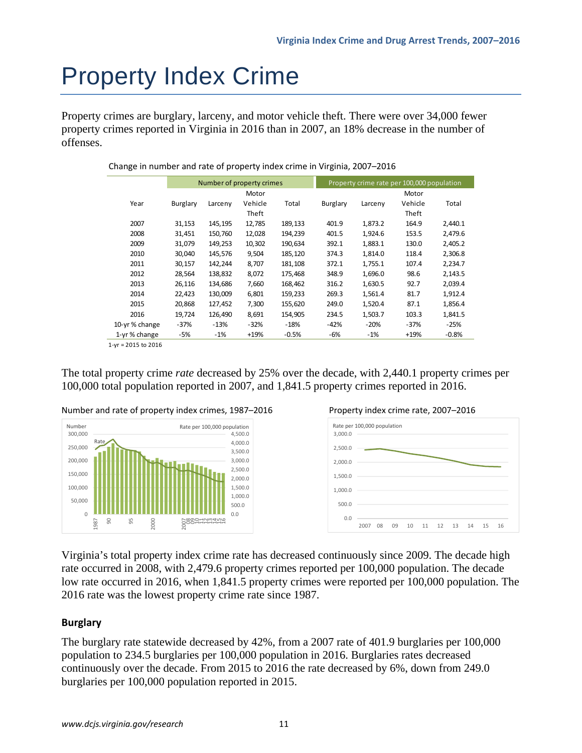# Property Index Crime

Property crimes are burglary, larceny, and motor vehicle theft. There were over 34,000 fewer property crimes reported in Virginia in 2016 than in 2007, an 18% decrease in the number of offenses.

|               |          |         | Number of property crimes |         |          |         | Property crime rate per 100,000 population |         |
|---------------|----------|---------|---------------------------|---------|----------|---------|--------------------------------------------|---------|
|               |          |         | Motor                     |         |          |         | Motor                                      |         |
| Year          | Burglary | Larceny | Vehicle                   | Total   | Burglary | Larceny | Vehicle                                    | Total   |
|               |          |         | Theft                     |         |          |         | Theft                                      |         |
| 2007          | 31,153   | 145,195 | 12,785                    | 189,133 | 401.9    | 1,873.2 | 164.9                                      | 2,440.1 |
| 2008          | 31,451   | 150,760 | 12,028                    | 194,239 | 401.5    | 1,924.6 | 153.5                                      | 2,479.6 |
| 2009          | 31,079   | 149,253 | 10,302                    | 190,634 | 392.1    | 1,883.1 | 130.0                                      | 2,405.2 |
| 2010          | 30,040   | 145,576 | 9,504                     | 185,120 | 374.3    | 1,814.0 | 118.4                                      | 2,306.8 |
| 2011          | 30.157   | 142,244 | 8.707                     | 181,108 | 372.1    | 1.755.1 | 107.4                                      | 2,234.7 |
| 2012          | 28,564   | 138,832 | 8,072                     | 175,468 | 348.9    | 1,696.0 | 98.6                                       | 2,143.5 |
| 2013          | 26,116   | 134,686 | 7,660                     | 168,462 | 316.2    | 1,630.5 | 92.7                                       | 2,039.4 |
| 2014          | 22,423   | 130,009 | 6,801                     | 159,233 | 269.3    | 1,561.4 | 81.7                                       | 1,912.4 |
| 2015          | 20,868   | 127,452 | 7,300                     | 155,620 | 249.0    | 1,520.4 | 87.1                                       | 1,856.4 |
| 2016          | 19.724   | 126,490 | 8,691                     | 154,905 | 234.5    | 1,503.7 | 103.3                                      | 1,841.5 |
| 10-yr% change | $-37%$   | $-13%$  | $-32%$                    | $-18%$  | $-42%$   | $-20%$  | $-37%$                                     | $-25%$  |
| 1-yr% change  | -5%      | $-1%$   | $+19%$                    | $-0.5%$ | -6%      | $-1%$   | $+19%$                                     | $-0.8%$ |

Change in number and rate of property index crime in Virginia, 2007–2016

1‐yr = 2015 to 2016

The total property crime *rate* decreased by 25% over the decade, with 2,440.1 property crimes per 100,000 total population reported in 2007, and 1,841.5 property crimes reported in 2016.







Virginia's total property index crime rate has decreased continuously since 2009. The decade high rate occurred in 2008, with 2,479.6 property crimes reported per 100,000 population. The decade low rate occurred in 2016, when 1,841.5 property crimes were reported per 100,000 population. The 2016 rate was the lowest property crime rate since 1987.

### **Burglary**

The burglary rate statewide decreased by 42%, from a 2007 rate of 401.9 burglaries per 100,000 population to 234.5 burglaries per 100,000 population in 2016. Burglaries rates decreased continuously over the decade. From 2015 to 2016 the rate decreased by 6%, down from 249.0 burglaries per 100,000 population reported in 2015.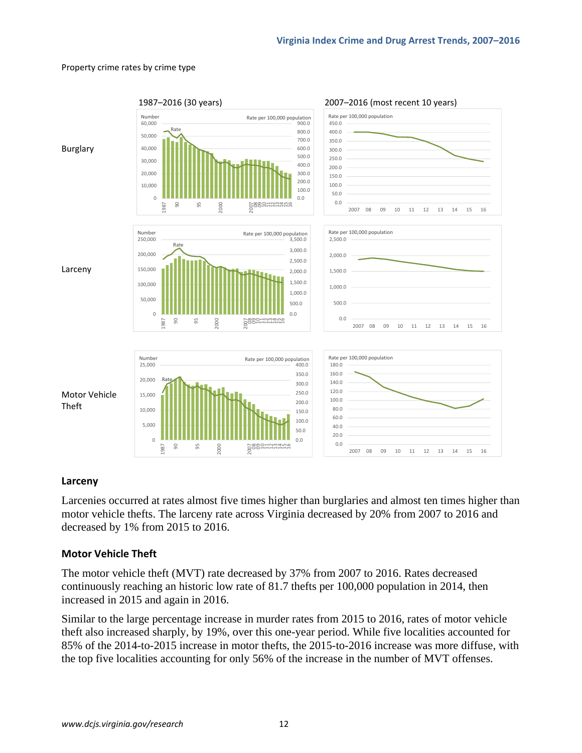#### Property crime rates by crime type



### **Larceny**

Larcenies occurred at rates almost five times higher than burglaries and almost ten times higher than motor vehicle thefts. The larceny rate across Virginia decreased by 20% from 2007 to 2016 and decreased by 1% from 2015 to 2016.

### **Motor Vehicle Theft**

The motor vehicle theft (MVT) rate decreased by 37% from 2007 to 2016. Rates decreased continuously reaching an historic low rate of 81.7 thefts per 100,000 population in 2014, then increased in 2015 and again in 2016.

Similar to the large percentage increase in murder rates from 2015 to 2016, rates of motor vehicle theft also increased sharply, by 19%, over this one-year period. While five localities accounted for 85% of the 2014-to-2015 increase in motor thefts, the 2015-to-2016 increase was more diffuse, with the top five localities accounting for only 56% of the increase in the number of MVT offenses.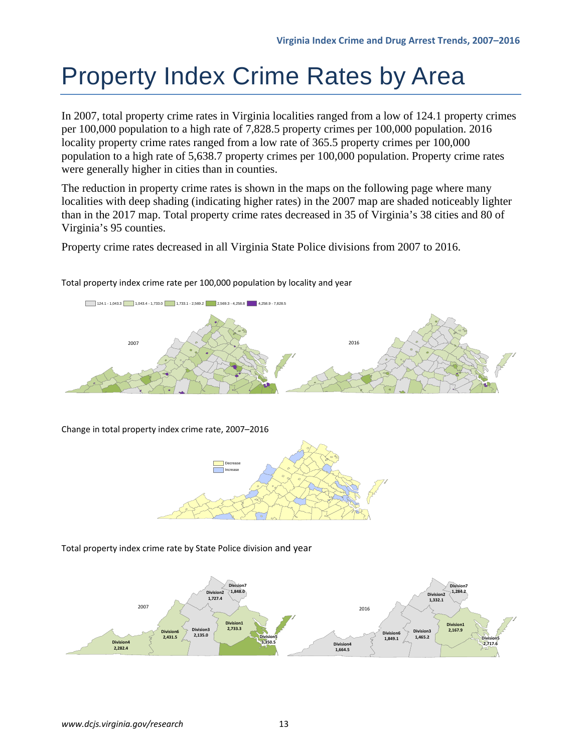# Property Index Crime Rates by Area

In 2007, total property crime rates in Virginia localities ranged from a low of 124.1 property crimes per 100,000 population to a high rate of 7,828.5 property crimes per 100,000 population. 2016 locality property crime rates ranged from a low rate of 365.5 property crimes per 100,000 population to a high rate of 5,638.7 property crimes per 100,000 population. Property crime rates were generally higher in cities than in counties.

The reduction in property crime rates is shown in the maps on the following page where many localities with deep shading (indicating higher rates) in the 2007 map are shaded noticeably lighter than in the 2017 map. Total property crime rates decreased in 35 of Virginia's 38 cities and 80 of Virginia's 95 counties.

Property crime rates decreased in all Virginia State Police divisions from 2007 to 2016.



Total property index crime rate per 100,000 population by locality and year

Change in total property index crime rate, 2007–2016



Total property index crime rate by State Police division and year

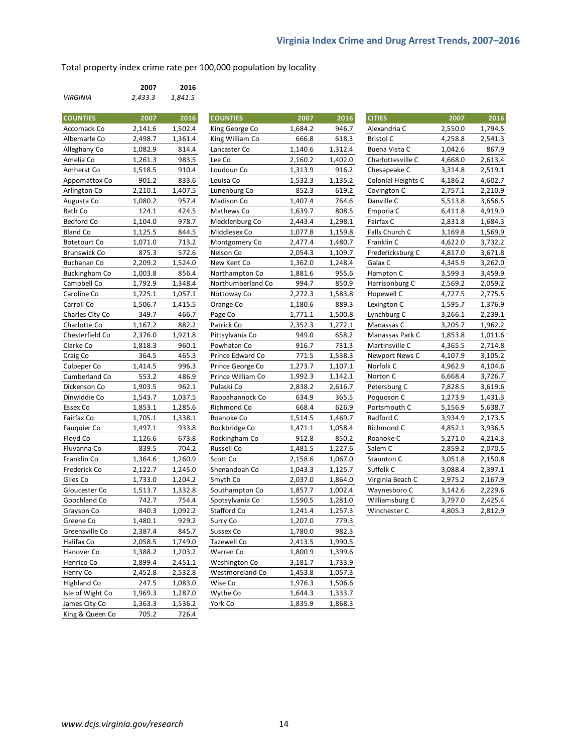Total property index crime rate per 100,000 population by locality

|                 | 2007    | 2016    |
|-----------------|---------|---------|
| <b>VIRGINIA</b> | 2,433.3 | 1.841.5 |

| <b>COUNTIES</b>     | 2007    | 2016    | <b>COUNTIES</b>   | 2007    | 2016    | <b>CITIES</b>      | 2007    | 2016    |
|---------------------|---------|---------|-------------------|---------|---------|--------------------|---------|---------|
| Accomack Co         | 2,141.6 | 1,502.4 | King George Co    | 1,684.2 | 946.7   | Alexandria C       | 2,550.0 | 1,794.5 |
| Albemarle Co        | 2,498.7 | 1,361.4 | King William Co   | 666.8   | 618.3   | <b>Bristol C</b>   | 4,258.8 | 2,541.3 |
| Alleghany Co        | 1,082.9 | 814.4   | Lancaster Co      | 1,140.6 | 1,312.4 | Buena Vista C      | 1,042.6 | 867.9   |
| Amelia Co           | 1,261.3 | 983.5   | Lee Co            | 2,160.2 | 1,402.0 | Charlottesville C  | 4,668.0 | 2,613.4 |
| Amherst Co          | 1,518.5 | 910.4   | Loudoun Co        | 1,313.9 | 916.2   | Chesapeake C       | 3,314.8 | 2,519.1 |
| Appomattox Co       | 901.2   | 833.6   | Louisa Co         | 1,532.3 | 1,135.2 | Colonial Heights C | 4,186.2 | 4,602.7 |
| Arlington Co        | 2,210.1 | 1,407.5 | Lunenburg Co      | 852.3   | 619.2   | Covington C        | 2,757.1 | 2,210.9 |
| Augusta Co          | 1,080.2 | 957.4   | Madison Co        | 1,407.4 | 764.6   | Danville C         | 5,513.8 | 3,656.5 |
| Bath Co             | 124.1   | 424.5   | Mathews Co        | 1,639.7 | 808.5   | Emporia C          | 6,411.8 | 4,919.9 |
| Bedford Co          | 1,104.0 | 978.7   | Mecklenburg Co    | 2,443.4 | 1,298.1 | Fairfax C          | 2,831.8 | 1,684.3 |
| <b>Bland Co</b>     | 1,125.5 | 844.5   | Middlesex Co      | 1,077.8 | 1,159.8 | Falls Church C     | 3,169.8 | 1,569.9 |
| <b>Botetourt Co</b> | 1,071.0 | 713.2   | Montgomery Co     | 2,477.4 | 1,480.7 | Franklin C         | 4,622.0 | 3,732.2 |
| <b>Brunswick Co</b> | 875.3   | 572.6   | Nelson Co         | 2,054.3 | 1,109.7 | Fredericksburg C   | 4,817.0 | 3,671.8 |
| Buchanan Co         | 2,209.2 | 1,524.0 | New Kent Co       | 1,362.0 | 1,248.4 | Galax C            | 4,345.9 | 3,262.0 |
| Buckingham Co       | 1,003.8 | 856.4   | Northampton Co    | 1,881.6 | 955.6   | Hampton C          | 3,599.3 | 3,459.9 |
| Campbell Co         | 1,792.9 | 1,348.4 | Northumberland Co | 994.7   | 850.9   | Harrisonburg C     | 2,569.2 | 2,059.2 |
| Caroline Co         | 1,725.1 | 1,057.1 | Nottoway Co       | 2,272.3 | 1,583.8 | Hopewell C         | 4,727.5 | 2,775.5 |
| Carroll Co          | 1,506.7 | 1,415.5 | Orange Co         | 1,180.6 | 889.3   | Lexington C        | 1,595.7 | 1,376.9 |
| Charles City Co     | 349.7   | 466.7   | Page Co           | 1,771.1 | 1,500.8 | Lynchburg C        | 3,266.1 | 2,239.1 |
| Charlotte Co        | 1,167.2 | 882.2   | Patrick Co        | 2,352.3 | 1,272.1 | Manassas C         | 3,205.7 | 1,962.2 |
| Chesterfield Co     | 2,376.0 | 1,921.8 | Pittsylvania Co   | 949.0   | 658.2   | Manassas Park C    | 1,853.8 | 1,011.6 |
| Clarke Co           | 1,818.3 | 960.1   | Powhatan Co       | 916.7   | 731.3   | Martinsville C     | 4,365.5 | 2,714.8 |
| Craig Co            | 364.5   | 465.3   | Prince Edward Co  | 771.5   | 1,538.3 | Newport News C     | 4,107.9 | 3,105.2 |
| Culpeper Co         | 1,414.5 | 996.3   | Prince George Co  | 1,273.7 | 1,107.1 | Norfolk C          | 4,962.9 | 4,104.6 |
| Cumberland Co       | 553.2   | 486.9   | Prince William Co | 1,992.3 | 1,142.1 | Norton C           | 6,668.4 | 3,726.7 |
| Dickenson Co        | 1,903.5 | 962.1   | Pulaski Co        | 2,838.2 | 2,616.7 | Petersburg C       | 7,828.5 | 3,619.6 |
| Dinwiddie Co        | 1,543.7 | 1,037.5 | Rappahannock Co   | 634.9   | 365.5   | Poquoson C         | 1,273.9 | 1,431.3 |
| Essex Co            | 1,853.1 | 1,285.6 | Richmond Co       | 668.4   | 626.9   | Portsmouth C       | 5,156.9 | 5,638.7 |
| Fairfax Co          | 1,705.1 | 1,338.1 | Roanoke Co        | 1,514.5 | 1,469.7 | Radford C          | 3,934.9 | 2,173.5 |
| Fauquier Co         | 1,497.1 | 933.8   | Rockbridge Co     | 1,471.1 | 1,058.4 | Richmond C         | 4,852.1 | 3,936.5 |
| Floyd Co            | 1,126.6 | 673.8   | Rockingham Co     | 912.8   | 850.2   | Roanoke C          | 5,271.0 | 4,214.3 |
| Fluvanna Co         | 839.5   | 704.2   | Russell Co        | 1,481.5 | 1,227.6 | Salem C            | 2,859.2 | 2,070.5 |
| Franklin Co         | 1,364.6 | 1,260.9 | Scott Co          | 2,158.6 | 1,067.0 | Staunton C         | 3,051.8 | 2,150.8 |
| Frederick Co        | 2,122.7 | 1,245.0 | Shenandoah Co     | 1,043.3 | 1,125.7 | Suffolk C          | 3,088.4 | 2,397.1 |
| Giles Co            | 1,733.0 | 1,204.2 | Smyth Co          | 2,037.0 | 1,864.0 | Virginia Beach C   | 2,975.2 | 2,167.9 |
| Gloucester Co       | 1,513.7 | 1,332.8 | Southampton Co    | 1,857.7 | 1,002.4 | Waynesboro C       | 3,142.6 | 2,229.6 |
| Goochland Co        | 742.7   | 754.4   | Spotsylvania Co   | 1,590.5 | 1,281.0 | Williamsburg C     | 3,797.0 | 2,425.4 |
| Grayson Co          | 840.3   | 1,092.2 | Stafford Co       | 1,241.4 | 1,257.3 | Winchester C       | 4,805.3 | 2,812.9 |
| Greene Co           | 1,480.1 | 929.2   | Surry Co          | 1,207.0 | 779.3   |                    |         |         |
| Greensville Co      | 2,387.4 | 845.7   | Sussex Co         | 1,780.0 | 982.3   |                    |         |         |
| Halifax Co          | 2,058.5 | 1,749.0 | Tazewell Co       | 2,413.5 | 1,990.5 |                    |         |         |
| Hanover Co          | 1,388.2 | 1,203.2 | Warren Co         | 1,800.9 | 1,399.6 |                    |         |         |
| Henrico Co          | 2,899.4 | 2,451.1 | Washington Co     | 3,181.7 | 1,733.9 |                    |         |         |
| Henry Co            | 2,452.8 | 2,532.8 | Westmoreland Co   | 1,453.8 | 1,057.3 |                    |         |         |
| <b>Highland Co</b>  | 247.5   | 1,083.0 | Wise Co           | 1,976.3 | 1,506.6 |                    |         |         |
| Isle of Wight Co    | 1,969.3 | 1,287.0 | Wythe Co          | 1,644.3 | 1,333.7 |                    |         |         |
| James City Co       | 1,363.3 | 1,536.2 | York Co           | 1,835.9 | 1,868.3 |                    |         |         |
| King & Queen Co     | 705.2   | 726.4   |                   |         |         |                    |         |         |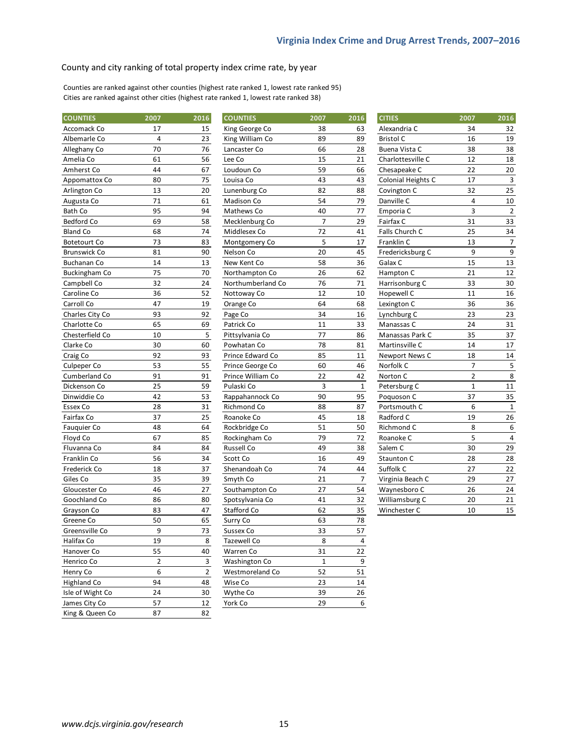#### County and city ranking of total property index crime rate, by year

Counties are ranked against other counties (highest rate ranked 1, lowest rate ranked 95) Cities are ranked against other cities (highest rate ranked 1, lowest rate ranked 38)

| <b>COUNTIES</b>      | 2007 | 2016           | <b>COUNTIES</b>   | 2007           | 2016           | <b>CITIES</b>      | 2007           | 2016           |
|----------------------|------|----------------|-------------------|----------------|----------------|--------------------|----------------|----------------|
| Accomack Co          | 17   | 15             | King George Co    | 38             | 63             | Alexandria C       | 34             | 32             |
| Albemarle Co         | 4    | 23             | King William Co   | 89             | 89             | <b>Bristol C</b>   | 16             | 19             |
| Alleghany Co         | 70   | 76             | Lancaster Co      | 66             | 28             | Buena Vista C      | 38             | 38             |
| Amelia Co            | 61   | 56             | Lee Co            | 15             | 21             | Charlottesville C  | 12             | 18             |
| Amherst Co           | 44   | 67             | Loudoun Co        | 59             | 66             | Chesapeake C       | 22             | 20             |
| Appomattox Co        | 80   | 75             | Louisa Co         | 43             | 43             | Colonial Heights C | 17             | 3              |
| Arlington Co         | 13   | 20             | Lunenburg Co      | 82             | 88             | Covington C        | 32             | 25             |
| Augusta Co           | 71   | 61             | Madison Co        | 54             | 79             | Danville C         | 4              | 10             |
| <b>Bath Co</b>       | 95   | 94             | Mathews Co        | 40             | 77             | Emporia C          | 3              | $\overline{2}$ |
| Bedford Co           | 69   | 58             | Mecklenburg Co    | $\overline{7}$ | 29             | Fairfax C          | 31             | 33             |
| <b>Bland Co</b>      | 68   | 74             | Middlesex Co      | 72             | 41             | Falls Church C     | 25             | 34             |
| <b>Botetourt Co</b>  | 73   | 83             | Montgomery Co     | 5              | 17             | Franklin C         | 13             | 7              |
| <b>Brunswick Co</b>  | 81   | 90             | Nelson Co         | 20             | 45             | Fredericksburg C   | 9              | 9              |
| <b>Buchanan Co</b>   | 14   | 13             | New Kent Co       | 58             | 36             | Galax C            | 15             | 13             |
| <b>Buckingham Co</b> | 75   | 70             | Northampton Co    | 26             | 62             | Hampton C          | 21             | 12             |
| Campbell Co          | 32   | 24             | Northumberland Co | 76             | 71             | Harrisonburg C     | 33             | 30             |
| Caroline Co          | 36   | 52             | Nottoway Co       | 12             | 10             | Hopewell C         | 11             | 16             |
| Carroll Co           | 47   | 19             | Orange Co         | 64             | 68             | Lexington C        | 36             | 36             |
| Charles City Co      | 93   | 92             | Page Co           | 34             | 16             | Lynchburg C        | 23             | 23             |
| Charlotte Co         | 65   | 69             | Patrick Co        | 11             | 33             | Manassas C         | 24             | 31             |
| Chesterfield Co      | 10   | 5              | Pittsylvania Co   | 77             | 86             | Manassas Park C    | 35             | 37             |
| Clarke Co            | 30   | 60             | Powhatan Co       | 78             | 81             | Martinsville C     | 14             | 17             |
| Craig Co             | 92   | 93             | Prince Edward Co  | 85             | 11             | Newport News C     | 18             | 14             |
| Culpeper Co          | 53   | 55             | Prince George Co  | 60             | 46             | Norfolk C          | 7              | 5              |
| Cumberland Co        | 91   | 91             | Prince William Co | 22             | 42             | Norton C           | $\overline{2}$ | 8              |
| Dickenson Co         | 25   | 59             | Pulaski Co        | 3              | $\mathbf{1}$   | Petersburg C       | $\mathbf{1}$   | 11             |
| Dinwiddie Co         | 42   | 53             | Rappahannock Co   | 90             | 95             | Poquoson C         | 37             | 35             |
| Essex Co             | 28   | 31             | Richmond Co       | 88             | 87             | Portsmouth C       | 6              | $\mathbf{1}$   |
| Fairfax Co           | 37   | 25             | Roanoke Co        | 45             | 18             | Radford C          | 19             | 26             |
| Fauquier Co          | 48   | 64             | Rockbridge Co     | 51             | 50             | Richmond C         | 8              | 6              |
| Floyd Co             | 67   | 85             | Rockingham Co     | 79             | 72             | Roanoke C          | 5              | 4              |
| Fluvanna Co          | 84   | 84             | Russell Co        | 49             | 38             | Salem C            | 30             | 29             |
| Franklin Co          | 56   | 34             | Scott Co          | 16             | 49             | Staunton C         | 28             | 28             |
| Frederick Co         | 18   | 37             | Shenandoah Co     | 74             | 44             | Suffolk C          | 27             | 22             |
| Giles Co             | 35   | 39             | Smyth Co          | 21             | $\overline{7}$ | Virginia Beach C   | 29             | 27             |
| Gloucester Co        | 46   | 27             | Southampton Co    | 27             | 54             | Waynesboro C       | 26             | 24             |
| Goochland Co         | 86   | 80             | Spotsylvania Co   | 41             | 32             | Williamsburg C     | 20             | 21             |
| Grayson Co           | 83   | 47             | Stafford Co       | 62             | 35             | Winchester C       | 10             | 15             |
| Greene Co            | 50   | 65             | Surry Co          | 63             | 78             |                    |                |                |
| Greensville Co       | 9    | 73             | Sussex Co         | 33             | 57             |                    |                |                |
| Halifax Co           | 19   | 8              | Tazewell Co       | 8              | $\overline{4}$ |                    |                |                |
| Hanover Co           | 55   | 40             | Warren Co         | 31             | 22             |                    |                |                |
| Henrico Co           | 2    | $\mathbf{3}$   | Washington Co     | $\mathbf{1}$   | 9              |                    |                |                |
| Henry Co             | 6    | $\overline{2}$ | Westmoreland Co   | 52             | 51             |                    |                |                |
| <b>Highland Co</b>   | 94   | 48             | Wise Co           | 23             | $14\,$         |                    |                |                |
| Isle of Wight Co     | 24   | 30             | Wythe Co          | 39             | 26             |                    |                |                |
| James City Co        | 57   | 12             | York Co           | 29             | 6              |                    |                |                |
| King & Queen Co      | 87   | 82             |                   |                |                |                    |                |                |

| <b>CITIES</b>        | 2007           | 2016           |
|----------------------|----------------|----------------|
| Alexandria C         | 34             | 32             |
| <b>Bristol C</b>     | 16             | 19             |
| Buena Vista C        | 38             | 38             |
| Charlottesville C    | 12             | 18             |
| Chesapeake C         | 22             | 20             |
| Colonial Heights C   | 17             | 3              |
| Covington C          | 32             | 25             |
| Danville C           | $\overline{4}$ | 10             |
| Emporia C            | $\overline{3}$ | $\overline{2}$ |
| Fairfax C            | 31             | 33             |
| Falls Church C       | 25             | 34             |
| Franklin C           | 13             | 7              |
| Fredericksburg C     | 9              | 9              |
| Galax C              | 15             | 13             |
| Hampton C            | 21             | 12             |
| Harrisonburg C       | 33             | 30             |
| Hopewell C           | 11             | 16             |
| Lexington C          | 36             | 36             |
| Lynchburg C          | 23             | 23             |
| Manassas C           | 24             | 31             |
| Manassas Park C      | 35             | 37             |
| Martinsville C       | 14             | 17             |
| Newport News C       | 18             | 14             |
| Norfolk <sub>C</sub> | 7              | 5              |
| Norton C             | 2              | 8              |
| Petersburg C         | $\overline{1}$ | 11             |
| Poquoson C           | 37             | 35             |
| Portsmouth C         | 6              | $\mathbf{1}$   |
| Radford C            | 19             | 26             |
| Richmond C           | 8              | 6              |
| Roanoke C            | 5              | 4              |
| Salem C              | 30             | 29             |
| <b>Staunton C</b>    | 28             | 28             |
| Suffolk C            | 27             | 22             |
| Virginia Beach C     | 29             | 27             |
| Waynesboro C         | 26             | 24             |
| Williamsburg C       | 20             | 21             |
| Winchester C         | 10             | 15             |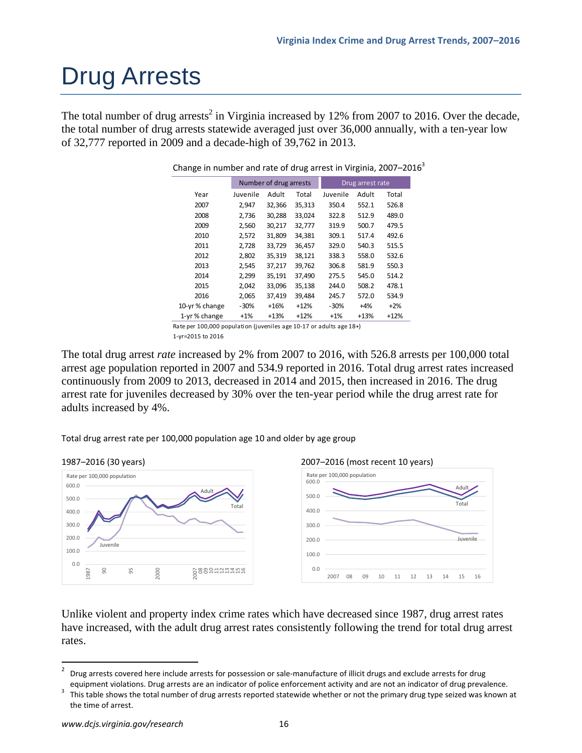# Drug Arrests

The total number of drug arrests<sup>2</sup> in Virginia increased by 12% from 2007 to 2016. Over the decade, the total number of drug arrests statewide averaged just over 36,000 annually, with a ten-year low of 32,777 reported in 2009 and a decade-high of 39,762 in 2013.

|                                                                     | Number of drug arrests |        |        | Drug arrest rate |        |        |  |  |  |
|---------------------------------------------------------------------|------------------------|--------|--------|------------------|--------|--------|--|--|--|
| Year                                                                | Juvenile               | Adult  | Total  | Juvenile         | Adult  | Total  |  |  |  |
| 2007                                                                | 2.947                  | 32,366 | 35,313 | 350.4            | 552.1  | 526.8  |  |  |  |
| 2008                                                                | 2.736                  | 30,288 | 33.024 | 322.8            | 512.9  | 489.0  |  |  |  |
| 2009                                                                | 2,560                  | 30,217 | 32,777 | 319.9            | 500.7  | 479.5  |  |  |  |
| 2010                                                                | 2,572                  | 31,809 | 34.381 | 309.1            | 517.4  | 492.6  |  |  |  |
| 2011                                                                | 2,728                  | 33.729 | 36.457 | 329.0            | 540.3  | 515.5  |  |  |  |
| 2012                                                                | 2,802                  | 35,319 | 38.121 | 338.3            | 558.0  | 532.6  |  |  |  |
| 2013                                                                | 2,545                  | 37,217 | 39,762 | 306.8            | 581.9  | 550.3  |  |  |  |
| 2014                                                                | 2,299                  | 35,191 | 37,490 | 275.5            | 545.0  | 514.2  |  |  |  |
| 2015                                                                | 2.042                  | 33.096 | 35.138 | 244.0            | 508.2  | 478.1  |  |  |  |
| 2016                                                                | 2,065                  | 37.419 | 39,484 | 245.7            | 572.0  | 534.9  |  |  |  |
| 10-yr% change                                                       | $-30%$                 | $+16%$ | $+12%$ | $-30%$           | $+4%$  | $+2%$  |  |  |  |
| 1-yr% change                                                        | $+1%$                  | $+13%$ | $+12%$ | $+1%$            | $+13%$ | $+12%$ |  |  |  |
| Rate per 100,000 population (iuveniles age 10-17 or adults age 18+) |                        |        |        |                  |        |        |  |  |  |

Change in number and rate of drug arrest in Virginia,  $2007-2016<sup>3</sup>$ 

The total drug arrest *rate* increased by 2% from 2007 to 2016, with 526.8 arrests per 100,000 total arrest age population reported in 2007 and 534.9 reported in 2016. Total drug arrest rates increased continuously from 2009 to 2013, decreased in 2014 and 2015, then increased in 2016. The drug arrest rate for juveniles decreased by 30% over the ten-year period while the drug arrest rate for adults increased by 4%.

Total drug arrest rate per 100,000 population age 10 and older by age group



Unlike violent and property index crime rates which have decreased since 1987, drug arrest rates have increased, with the adult drug arrest rates consistently following the trend for total drug arrest rates.

Rate per 100,000 population (juveniles age 10‐17 or adults age 18+) 1‐yr=2015 to 2016

<sup>2</sup> Drug arrests covered here include arrests for possession or sale‐manufacture of illicit drugs and exclude arrests for drug

equipment violations. Drug arrests are an indicator of police enforcement activity and are not an indicator of drug prevalence. This table shows the total number of drug arrests reported statewide whether or not the primary drug type seized was known at the time of arrest.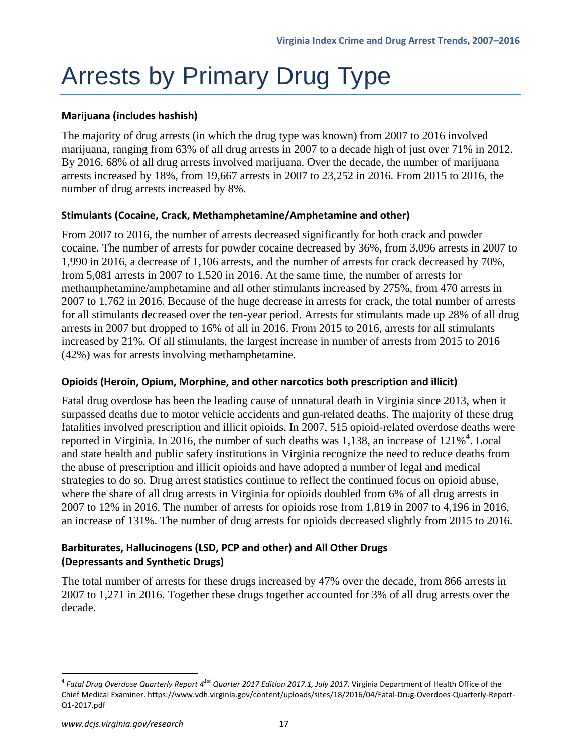# Arrests by Primary Drug Type

### **Marijuana (includes hashish)**

The majority of drug arrests (in which the drug type was known) from 2007 to 2016 involved marijuana, ranging from 63% of all drug arrests in 2007 to a decade high of just over 71% in 2012. By 2016, 68% of all drug arrests involved marijuana. Over the decade, the number of marijuana arrests increased by 18%, from 19,667 arrests in 2007 to 23,252 in 2016. From 2015 to 2016, the number of drug arrests increased by 8%.

### **Stimulants (Cocaine, Crack, Methamphetamine/Amphetamine and other)**

From 2007 to 2016, the number of arrests decreased significantly for both crack and powder cocaine. The number of arrests for powder cocaine decreased by 36%, from 3,096 arrests in 2007 to 1,990 in 2016, a decrease of 1,106 arrests, and the number of arrests for crack decreased by 70%, from 5,081 arrests in 2007 to 1,520 in 2016. At the same time, the number of arrests for methamphetamine/amphetamine and all other stimulants increased by 275%, from 470 arrests in 2007 to 1,762 in 2016. Because of the huge decrease in arrests for crack, the total number of arrests for all stimulants decreased over the ten-year period. Arrests for stimulants made up 28% of all drug arrests in 2007 but dropped to 16% of all in 2016. From 2015 to 2016, arrests for all stimulants increased by 21%. Of all stimulants, the largest increase in number of arrests from 2015 to 2016 (42%) was for arrests involving methamphetamine.

### **Opioids (Heroin, Opium, Morphine, and other narcotics both prescription and illicit)**

Fatal drug overdose has been the leading cause of unnatural death in Virginia since 2013, when it surpassed deaths due to motor vehicle accidents and gun-related deaths. The majority of these drug fatalities involved prescription and illicit opioids. In 2007, 515 opioid-related overdose deaths were reported in Virginia. In 2016, the number of such deaths was  $1,138$ , an increase of  $121\%$ <sup>4</sup>. Local and state health and public safety institutions in Virginia recognize the need to reduce deaths from the abuse of prescription and illicit opioids and have adopted a number of legal and medical strategies to do so. Drug arrest statistics continue to reflect the continued focus on opioid abuse, where the share of all drug arrests in Virginia for opioids doubled from 6% of all drug arrests in 2007 to 12% in 2016. The number of arrests for opioids rose from 1,819 in 2007 to 4,196 in 2016, an increase of 131%. The number of drug arrests for opioids decreased slightly from 2015 to 2016.

### **Barbiturates, Hallucinogens (LSD, PCP and other) and All Other Drugs (Depressants and Synthetic Drugs)**

The total number of arrests for these drugs increased by 47% over the decade, from 866 arrests in 2007 to 1,271 in 2016. Together these drugs together accounted for 3% of all drug arrests over the decade.

<sup>4</sup> *Fatal Drug Overdose Quarterly Report 41st Quarter 2017 Edition 2017.1, July 2017*. Virginia Department of Health Office of the Chief Medical Examiner. https://www.vdh.virginia.gov/content/uploads/sites/18/2016/04/Fatal‐Drug‐Overdoes‐Quarterly‐Report‐ Q1‐2017.pdf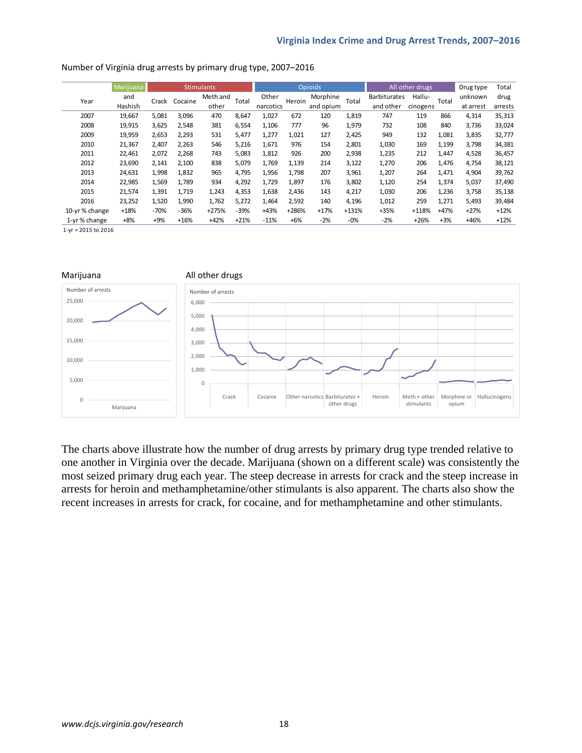|               | Marijuana | <b>Stimulants</b> |         |          | <b>Opioids</b> |           |         | All other drugs |         |                     | Drug type | Total  |           |         |
|---------------|-----------|-------------------|---------|----------|----------------|-----------|---------|-----------------|---------|---------------------|-----------|--------|-----------|---------|
| Year          | and       | Crack             | Cocaine | Meth and | Total          | Other     | Heroin  | Morphine        | Total   | <b>Barbiturates</b> | Hallu-    | Total  | unknown   | drug    |
|               | Hashish   |                   |         | other    |                | narcotics |         | and opium       |         | and other           | cinogens  |        | at arrest | arrests |
| 2007          | 19,667    | 5,081             | 3,096   | 470      | 8,647          | 1,027     | 672     | 120             | 1,819   | 747                 | 119       | 866    | 4,314     | 35,313  |
| 2008          | 19,915    | 3,625             | 2,548   | 381      | 6,554          | 1,106     | 777     | 96              | 1,979   | 732                 | 108       | 840    | 3,736     | 33,024  |
| 2009          | 19,959    | 2,653             | 2,293   | 531      | 5,477          | 1,277     | 1,021   | 127             | 2,425   | 949                 | 132       | 1,081  | 3,835     | 32,777  |
| 2010          | 21,367    | 2,407             | 2,263   | 546      | 5,216          | 1,671     | 976     | 154             | 2,801   | 1,030               | 169       | 1,199  | 3,798     | 34,381  |
| 2011          | 22,461    | 2,072             | 2,268   | 743      | 5,083          | 1,812     | 926     | 200             | 2,938   | 1,235               | 212       | 1,447  | 4,528     | 36,457  |
| 2012          | 23,690    | 2,141             | 2,100   | 838      | 5,079          | 1,769     | 1,139   | 214             | 3,122   | 1,270               | 206       | 1,476  | 4,754     | 38,121  |
| 2013          | 24,631    | 1,998             | 1,832   | 965      | 4,795          | 1,956     | 1,798   | 207             | 3,961   | 1,207               | 264       | 1,471  | 4,904     | 39,762  |
| 2014          | 22,985    | 1,569             | 1,789   | 934      | 4,292          | 1,729     | 1,897   | 176             | 3,802   | 1,120               | 254       | 1,374  | 5,037     | 37,490  |
| 2015          | 21,574    | 1,391             | 1,719   | 1,243    | 4,353          | 1,638     | 2,436   | 143             | 4,217   | 1,030               | 206       | 1,236  | 3,758     | 35,138  |
| 2016          | 23,252    | 1,520             | 1,990   | 1,762    | 5,272          | 1.464     | 2,592   | 140             | 4,196   | 1,012               | 259       | 1,271  | 5,493     | 39,484  |
| 10-yr% change | $+18%$    | $-70%$            | $-36%$  | $+275%$  | $-39%$         | $+43%$    | $+286%$ | $+17%$          | $+131%$ | $+35%$              | $+118%$   | $+47%$ | $+27%$    | $+12%$  |
| 1-yr% change  | $+8%$     | $+9%$             | $+16%$  | $+42%$   | $+21%$         | $-11%$    | $+6%$   | $-2%$           | $-0%$   | $-2%$               | $+26%$    | $+3%$  | $+46%$    | $+12%$  |

#### Number of Virginia drug arrests by primary drug type, 2007–2016

1‐yr = 2015 to 2016



The charts above illustrate how the number of drug arrests by primary drug type trended relative to one another in Virginia over the decade. Marijuana (shown on a different scale) was consistently the most seized primary drug each year. The steep decrease in arrests for crack and the steep increase in arrests for heroin and methamphetamine/other stimulants is also apparent. The charts also show the recent increases in arrests for crack, for cocaine, and for methamphetamine and other stimulants.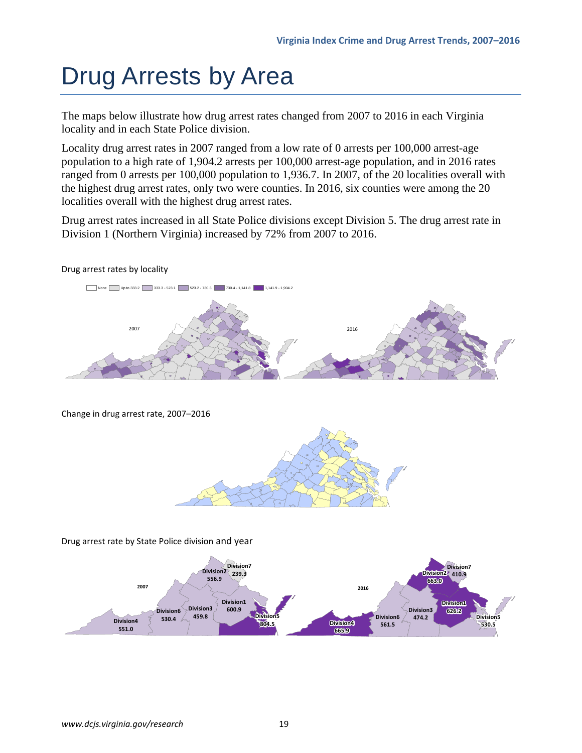# Drug Arrests by Area

The maps below illustrate how drug arrest rates changed from 2007 to 2016 in each Virginia locality and in each State Police division.

Locality drug arrest rates in 2007 ranged from a low rate of 0 arrests per 100,000 arrest-age population to a high rate of 1,904.2 arrests per 100,000 arrest-age population, and in 2016 rates ranged from 0 arrests per 100,000 population to 1,936.7. In 2007, of the 20 localities overall with the highest drug arrest rates, only two were counties. In 2016, six counties were among the 20 localities overall with the highest drug arrest rates.

Drug arrest rates increased in all State Police divisions except Division 5. The drug arrest rate in Division 1 (Northern Virginia) increased by 72% from 2007 to 2016.

### Drug arrest rates by locality



Change in drug arrest rate, 2007–2016



Drug arrest rate by State Police division and year

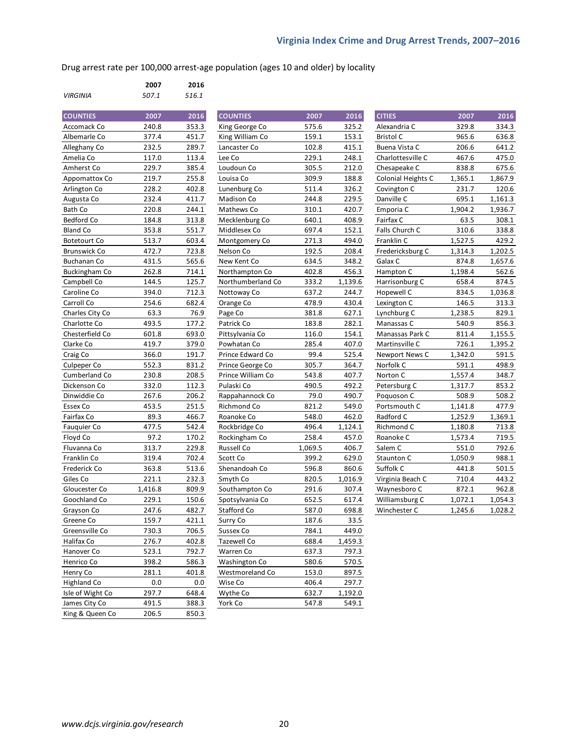Drug arrest rate per 100,000 arrest‐age population (ages 10 and older) by locality

|                 | 2007  | 2016  |
|-----------------|-------|-------|
| <b>VIRGINIA</b> | 507.1 | 516.1 |

| <b>COUNTIES</b>      | 2007    | $\frac{1}{2016}$ |
|----------------------|---------|------------------|
| Accomack Co          | 240.8   | 353.3            |
| Albemarle Co         | 377.4   | 451.7            |
| Alleghany Co         | 232.5   | 289.7            |
| Amelia Co            | 117.0   | 113.4            |
| Amherst Co           | 229.7   | 385.4            |
| Appomattox Co        | 219.7   | 255.8            |
| Arlington Co         | 228.2   | 402.8            |
| Augusta Co           | 232.4   | 411.7            |
| Bath Co              | 220.8   | 244.1            |
| <b>Bedford Co</b>    | 184.8   | 313.8            |
| <b>Bland Co</b>      | 353.8   | 551.7            |
| <b>Botetourt Co</b>  | 513.7   | 603.4            |
| <b>Brunswick Co</b>  | 472.7   | 723.8            |
| Buchanan Co          | 431.5   | 565.6            |
| <b>Buckingham Co</b> | 262.8   | 714.1            |
| Campbell Co          | 144.5   | 125.7            |
| Caroline Co          | 394.0   | 712.3            |
| Carroll Co           | 254.6   | 682.4            |
| Charles City Co      | 63.3    | 76.9             |
| Charlotte Co         | 493.5   | 177.2            |
| Chesterfield Co      | 601.8   | 693.0            |
| Clarke Co            | 419.7   | 379.0            |
| Craig Co             | 366.0   | 191.7            |
| Culpeper Co          | 552.3   | 831.2            |
| Cumberland Co        | 230.8   | 208.5            |
| Dickenson Co         | 332.0   | 112.3            |
| Dinwiddie Co         | 267.6   | 206.2            |
| Essex Co             | 453.5   | 251.5            |
| Fairfax Co           | 89.3    | 466.7            |
| Fauquier Co          | 477.5   | 542.4            |
| Floyd Co             | 97.2    | 170.2            |
| Fluvanna Co          | 313.7   | 229.8            |
| Franklin Co          | 319.4   | 702.4            |
| Frederick Co         | 363.8   | 513.6            |
| Giles Co             | 221.1   | 232.3            |
| Gloucester Co        | 1,416.8 | 809.9            |
| Goochland Co         | 229.1   | 150.6            |
| Grayson Co           | 247.6   | 482.7            |
| Greene Co            | 159.7   | 421.1            |
| Greensville Co       | 730.3   | 706.5            |
| Halifax Co           | 276.7   | 402.8            |
| Hanover Co           | 523.1   | 792.7            |
| Henrico Co           | 398.2   | 586.3            |
| Henry Co             | 281.1   | 401.8            |
| <b>Highland Co</b>   | 0.0     | 0.0              |
| Isle of Wight Co     | 297.7   | 648.4            |
| James City Co        | 491.5   | 388.3            |
| King & Queen Co      | 206.5   | 850.3            |
|                      |         |                  |

| <b>COUNTIES</b>     | 2007    | 2016  | <b>COUNTIES</b>   | 2007    | 2016    | <b>CITIES</b>      | 2007    | 2016    |
|---------------------|---------|-------|-------------------|---------|---------|--------------------|---------|---------|
| Accomack Co         | 240.8   | 353.3 | King George Co    | 575.6   | 325.2   | Alexandria C       | 329.8   | 334.3   |
| Albemarle Co        | 377.4   | 451.7 | King William Co   | 159.1   | 153.1   | <b>Bristol C</b>   | 965.6   | 636.8   |
| Alleghany Co        | 232.5   | 289.7 | Lancaster Co      | 102.8   | 415.1   | Buena Vista C      | 206.6   | 641.2   |
| Amelia Co           | 117.0   | 113.4 | Lee Co            | 229.1   | 248.1   | Charlottesville C  | 467.6   | 475.0   |
| Amherst Co          | 229.7   | 385.4 | Loudoun Co        | 305.5   | 212.0   | Chesapeake C       | 838.8   | 675.6   |
| Appomattox Co       | 219.7   | 255.8 | Louisa Co         | 309.9   | 188.8   | Colonial Heights C | 1,365.1 | 1,867.9 |
| Arlington Co        | 228.2   | 402.8 | Lunenburg Co      | 511.4   | 326.2   | Covington C        | 231.7   | 120.6   |
| Augusta Co          | 232.4   | 411.7 | Madison Co        | 244.8   | 229.5   | Danville C         | 695.1   | 1,161.3 |
| Bath Co             | 220.8   | 244.1 | Mathews Co        | 310.1   | 420.7   | Emporia C          | 1,904.2 | 1,936.7 |
| Bedford Co          | 184.8   | 313.8 | Mecklenburg Co    | 640.1   | 408.9   | Fairfax C          | 63.5    | 308.1   |
| <b>Bland Co</b>     | 353.8   | 551.7 | Middlesex Co      | 697.4   | 152.1   | Falls Church C     | 310.6   | 338.8   |
| <b>Botetourt Co</b> | 513.7   | 603.4 | Montgomery Co     | 271.3   | 494.0   | Franklin C         | 1,527.5 | 429.2   |
| <b>Brunswick Co</b> | 472.7   | 723.8 | Nelson Co         | 192.5   | 208.4   | Fredericksburg C   | 1,314.3 | 1,202.5 |
| Buchanan Co         | 431.5   | 565.6 | New Kent Co       | 634.5   | 348.2   | Galax C            | 874.8   | 1,657.6 |
| Buckingham Co       | 262.8   | 714.1 | Northampton Co    | 402.8   | 456.3   | Hampton C          | 1,198.4 | 562.6   |
| Campbell Co         | 144.5   | 125.7 | Northumberland Co | 333.2   | 1,139.6 | Harrisonburg C     | 658.4   | 874.5   |
| Caroline Co         | 394.0   | 712.3 | Nottoway Co       | 637.2   | 244.7   | Hopewell C         | 834.5   | 1,036.8 |
| Carroll Co          | 254.6   | 682.4 | Orange Co         | 478.9   | 430.4   | Lexington C        | 146.5   | 313.3   |
| Charles City Co     | 63.3    | 76.9  | Page Co           | 381.8   | 627.1   | Lynchburg C        | 1,238.5 | 829.1   |
| Charlotte Co        | 493.5   | 177.2 | Patrick Co        | 183.8   | 282.1   | Manassas C         | 540.9   | 856.3   |
| Chesterfield Co     | 601.8   | 693.0 | Pittsylvania Co   | 116.0   | 154.1   | Manassas Park C    | 811.4   | 1,155.5 |
| Clarke Co           | 419.7   | 379.0 | Powhatan Co       | 285.4   | 407.0   | Martinsville C     | 726.1   | 1,395.2 |
| Craig Co            | 366.0   | 191.7 | Prince Edward Co  | 99.4    | 525.4   | Newport News C     | 1,342.0 | 591.5   |
| Culpeper Co         | 552.3   | 831.2 | Prince George Co  | 305.7   | 364.7   | Norfolk C          | 591.1   | 498.9   |
| Cumberland Co       | 230.8   | 208.5 | Prince William Co | 543.8   | 407.7   | Norton C           | 1,557.4 | 348.7   |
| Dickenson Co        | 332.0   | 112.3 | Pulaski Co        | 490.5   | 492.2   | Petersburg C       | 1,317.7 | 853.2   |
| Dinwiddie Co        | 267.6   | 206.2 | Rappahannock Co   | 79.0    | 490.7   | Poquoson C         | 508.9   | 508.2   |
| Essex Co            | 453.5   | 251.5 | Richmond Co       | 821.2   | 549.0   | Portsmouth C       | 1,141.8 | 477.9   |
| Fairfax Co          | 89.3    | 466.7 | Roanoke Co        | 548.0   | 462.0   | Radford C          | 1,252.9 | 1,369.1 |
| Fauquier Co         | 477.5   | 542.4 | Rockbridge Co     | 496.4   | 1,124.1 | Richmond C         | 1,180.8 | 713.8   |
| Floyd Co            | 97.2    | 170.2 | Rockingham Co     | 258.4   | 457.0   | Roanoke C          | 1,573.4 | 719.5   |
| Fluvanna Co         | 313.7   | 229.8 | Russell Co        | 1,069.5 | 406.7   | Salem C            | 551.0   | 792.6   |
| Franklin Co         | 319.4   | 702.4 | Scott Co          | 399.2   | 629.0   | Staunton C         | 1,050.9 | 988.1   |
| Frederick Co        | 363.8   | 513.6 | Shenandoah Co     | 596.8   | 860.6   | Suffolk C          | 441.8   | 501.5   |
| Giles Co            | 221.1   | 232.3 | Smyth Co          | 820.5   | 1,016.9 | Virginia Beach C   | 710.4   | 443.2   |
| Gloucester Co       | 1,416.8 | 809.9 | Southampton Co    | 291.6   | 307.4   | Waynesboro C       | 872.1   | 962.8   |
| Goochland Co        | 229.1   | 150.6 | Spotsylvania Co   | 652.5   | 617.4   | Williamsburg C     | 1,072.1 | 1,054.3 |
| Grayson Co          | 247.6   | 482.7 | Stafford Co       | 587.0   | 698.8   | Winchester C       | 1,245.6 | 1,028.2 |
| Greene Co           | 159.7   | 421.1 | Surry Co          | 187.6   | 33.5    |                    |         |         |
| Greensville Co      | 730.3   | 706.5 | Sussex Co         | 784.1   | 449.0   |                    |         |         |
| Halifax Co          | 276.7   | 402.8 | Tazewell Co       | 688.4   | 1,459.3 |                    |         |         |
| Hanover Co          | 523.1   | 792.7 | Warren Co         | 637.3   | 797.3   |                    |         |         |
| Henrico Co          | 398.2   | 586.3 | Washington Co     | 580.6   | 570.5   |                    |         |         |
| Henry Co            | 281.1   | 401.8 | Westmoreland Co   | 153.0   | 897.5   |                    |         |         |
| <b>Highland Co</b>  | 0.0     | 0.0   | Wise Co           | 406.4   | 297.7   |                    |         |         |
| Isle of Wight Co    | 297.7   | 648.4 | Wythe Co          | 632.7   | 1,192.0 |                    |         |         |
| James City Co       | 491.5   | 388.3 | York Co           | 547.8   | 549.1   |                    |         |         |
| King & Oueen Co.    | 206.5   | 8503  |                   |         |         |                    |         |         |

| <b>CITIES</b>      | 2007    | 2016    |
|--------------------|---------|---------|
| Alexandria C       | 329.8   | 334.3   |
| <b>Bristol C</b>   | 965.6   | 636.8   |
| Buena Vista C      | 206.6   | 641.2   |
| Charlottesville C  | 467.6   | 475.0   |
| Chesapeake C       | 838.8   | 675.6   |
| Colonial Heights C | 1,365.1 | 1,867.9 |
| Covington C        | 231.7   | 120.6   |
| Danville C         | 695.1   | 1,161.3 |
| Emporia C          | 1,904.2 | 1,936.7 |
| Fairfax C          | 63.5    | 308.1   |
| Falls Church C     | 310.6   | 338.8   |
| Franklin C         | 1,527.5 | 429.2   |
| Fredericksburg C   | 1,314.3 | 1,202.5 |
| Galax C            | 874.8   | 1,657.6 |
| Hampton C          | 1,198.4 | 562.6   |
| Harrisonburg C     | 658.4   | 874.5   |
| Hopewell C         | 834.5   | 1,036.8 |
| Lexington C        | 146.5   | 313.3   |
| Lynchburg C        | 1,238.5 | 829.1   |
| Manassas C         | 540.9   | 856.3   |
| Manassas Park C    | 811.4   | 1,155.5 |
| Martinsville C     | 726.1   | 1,395.2 |
| Newport News C     | 1,342.0 | 591.5   |
| Norfolk C          | 591.1   | 498.9   |
| Norton C           | 1,557.4 | 348.7   |
| Petersburg C       | 1,317.7 | 853.2   |
| Poquoson C         | 508.9   | 508.2   |
| Portsmouth C       | 1,141.8 | 477.9   |
| Radford C          | 1,252.9 | 1,369.1 |
| Richmond C         | 1,180.8 | 713.8   |
| Roanoke C          | 1,573.4 | 719.5   |
| Salem C            | 551.0   | 792.6   |
| Staunton C         | 1,050.9 | 988.1   |
| Suffolk C          | 441.8   | 501.5   |
| Virginia Beach C   | 710.4   | 443.2   |
| Waynesboro C       | 872.1   | 962.8   |
| Williamsburg C     | 1,072.1 | 1,054.3 |
| Winchester C       | 1,245.6 | 1,028.2 |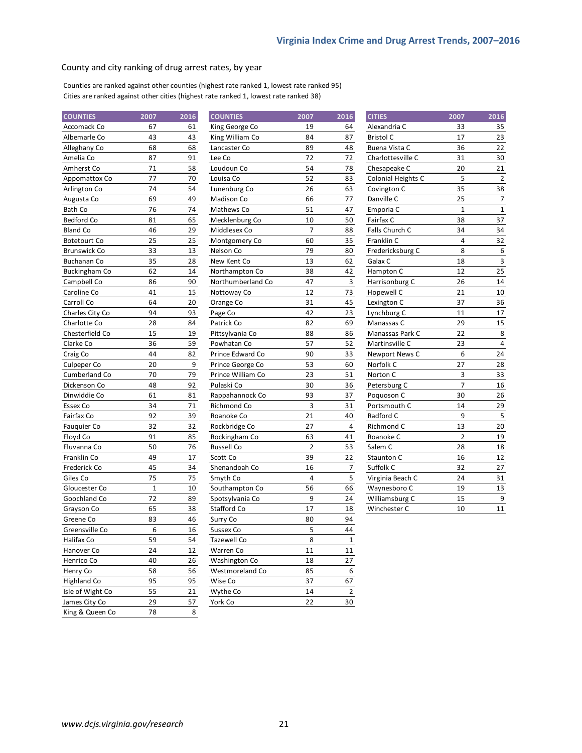#### County and city ranking of drug arrest rates, by year

Counties are ranked against other counties (highest rate ranked 1, lowest rate ranked 95) Cities are ranked against other cities (highest rate ranked 1, lowest rate ranked 38)

| <b>COUNTIES</b>      | 2007  | 2016 | <b>COUNTIES</b>      | 2007           | 2016           | <b>CITIES</b>      | 2007           | 2016             |
|----------------------|-------|------|----------------------|----------------|----------------|--------------------|----------------|------------------|
| Accomack Co          | 67    | 61   | King George Co       | 19             | 64             | Alexandria C       | 33             | 35               |
| Albemarle Co         | 43    | 43   | King William Co      | 84             | 87             | <b>Bristol C</b>   | 17             | 23               |
| Alleghany Co         | 68    | 68   | Lancaster Co         | 89             | 48             | Buena Vista C      | 36             | 22               |
| Amelia Co            | 87    | 91   | Lee Co               | 72             | 72             | Charlottesville C  | 31             | 30               |
| Amherst Co           | 71    | 58   | Loudoun Co           | 54             | 78             | Chesapeake C       | 20             | 21               |
| Appomattox Co        | 77    | 70   | Louisa Co            | 52             | 83             | Colonial Heights C | 5              | $\overline{2}$   |
| Arlington Co         | 74    | 54   | Lunenburg Co         | 26             | 63             | Covington C        | 35             | 38               |
| Augusta Co           | 69    | 49   | Madison Co           | 66             | 77             | Danville C         | 25             | $\overline{7}$   |
| Bath Co              | 76    | 74   | Mathews Co           | 51             | 47             | Emporia C          | $1\,$          | $\,1\,$          |
| Bedford Co           | 81    | 65   | Mecklenburg Co       | 10             | 50             | Fairfax C          | 38             | 37               |
| <b>Bland Co</b>      | 46    | 29   | Middlesex Co         | $\overline{7}$ | 88             | Falls Church C     | 34             | 34               |
| <b>Botetourt Co</b>  | 25    | 25   | Montgomery Co        | 60             | 35             | Franklin C         | $\overline{4}$ | 32               |
| <b>Brunswick Co</b>  | 33    | 13   | Nelson Co            | 79             | 80             | Fredericksburg C   | 8              | $\boldsymbol{6}$ |
| <b>Buchanan Co</b>   | 35    | 28   | New Kent Co          | 13             | 62             | Galax C            | 18             | $\mathsf 3$      |
| <b>Buckingham Co</b> | 62    | 14   | Northampton Co       | 38             | 42             | Hampton C          | 12             | 25               |
| Campbell Co          | 86    | 90   | Northumberland Co    | 47             | $\mathsf 3$    | Harrisonburg C     | 26             | 14               |
| Caroline Co          | 41    | 15   | Nottoway Co          | 12             | 73             | Hopewell C         | 21             | 10               |
| Carroll Co           | 64    | 20   | Orange Co            | 31             | 45             | Lexington C        | 37             | 36               |
| Charles City Co      | 94    | 93   | Page Co              | 42             | 23             | Lynchburg C        | 11             | 17               |
| Charlotte Co         | 28    | 84   | Patrick Co           | 82             | 69             | Manassas C         | 29             | 15               |
| Chesterfield Co      | 15    | 19   | Pittsylvania Co      | 88             | 86             | Manassas Park C    | 22             | 8                |
| Clarke Co            | 36    | 59   | Powhatan Co          | 57             | 52             | Martinsville C     | 23             | $\overline{4}$   |
| Craig Co             | 44    | 82   | Prince Edward Co     | 90             | 33             | Newport News C     | 6              | 24               |
| Culpeper Co          | 20    | 9    | Prince George Co     | 53             | 60             | Norfolk C          | 27             | 28               |
| Cumberland Co        | 70    | 79   | Prince William Co    | 23             | 51             | Norton C           | 3              | 33               |
| Dickenson Co         | 48    | 92   | Pulaski Co           | 30             | 36             | Petersburg C       | $\overline{7}$ | 16               |
| Dinwiddie Co         | 61    | 81   | Rappahannock Co      | 93             | 37             | Poquoson C         | 30             | 26               |
| Essex Co             | 34    | 71   | Richmond Co          | 3              | 31             | Portsmouth C       | 14             | 29               |
| Fairfax Co           | 92    | 39   | Roanoke Co           | 21             | 40             | Radford C          | 9              | $\overline{5}$   |
| Fauquier Co          | 32    | 32   | Rockbridge Co        | 27             | 4              | Richmond C         | 13             | 20               |
| Floyd Co             | 91    | 85   | Rockingham Co        | 63             | 41             | Roanoke C          | $\overline{2}$ | 19               |
| Fluvanna Co          | 50    | 76   | Russell Co           | $\overline{2}$ | 53             | Salem C            | 28             | 18               |
| Franklin Co          | 49    | 17   | Scott Co             | 39             | 22             | Staunton C         | 16             | 12               |
| Frederick Co         | 45    | 34   | Shenandoah Co        | 16             | $\overline{7}$ | Suffolk C          | 32             | 27               |
| Giles Co             | 75    | 75   | Smyth Co             | $\overline{4}$ | 5              | Virginia Beach C   | 24             | 31               |
| Gloucester Co        | $1\,$ | 10   | Southampton Co       | 56             | 66             | Waynesboro C       | 19             | 13               |
| Goochland Co         | 72    | 89   | Spotsylvania Co      | 9              | 24             | Williamsburg C     | 15             | $\boldsymbol{9}$ |
| Grayson Co           | 65    | 38   | Stafford Co          | 17             | 18             | Winchester C       | 10             | $11\,$           |
| Greene Co            | 83    | 46   | Surry Co             | 80             | 94             |                    |                |                  |
| Greensville Co       | 6     | 16   | Sussex Co            | 5              | 44             |                    |                |                  |
| Halifax Co           | 59    | 54   | Tazewell Co          | 8              | $\mathbf 1$    |                    |                |                  |
| Hanover Co           | 24    | 12   | Warren Co            | 11             | 11             |                    |                |                  |
| Henrico Co           | 40    | 26   | <b>Washington Co</b> | 18             | 27             |                    |                |                  |
| Henry Co             | 58    | 56   | Westmoreland Co      | 85             | 6              |                    |                |                  |
| <b>Highland Co</b>   | 95    | 95   | Wise Co              | 37             | 67             |                    |                |                  |
| Isle of Wight Co     | 55    | 21   | Wythe Co             | 14             | $\overline{2}$ |                    |                |                  |
| James City Co        | 29    | 57   | York Co              | 22             | 30             |                    |                |                  |
| King & Queen Co      | 78    | 8    |                      |                |                |                    |                |                  |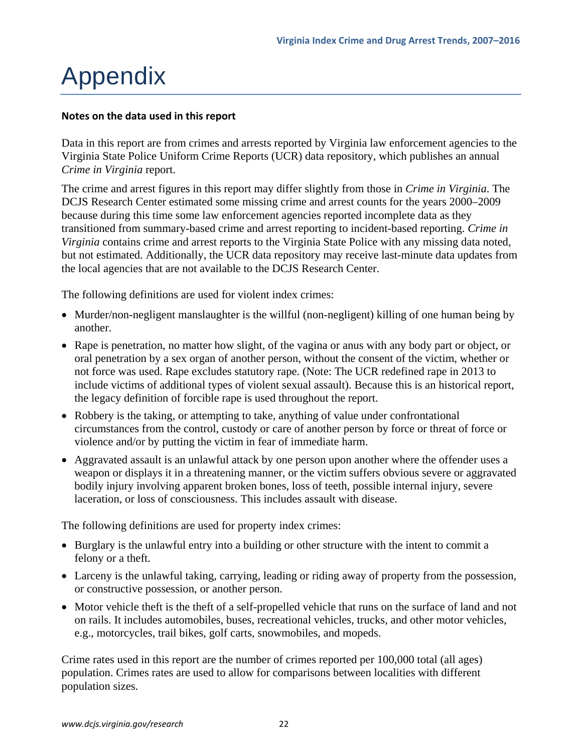# Appendix

### **Notes on the data used in this report**

Data in this report are from crimes and arrests reported by Virginia law enforcement agencies to the Virginia State Police Uniform Crime Reports (UCR) data repository, which publishes an annual *Crime in Virginia* report.

The crime and arrest figures in this report may differ slightly from those in *Crime in Virginia*. The DCJS Research Center estimated some missing crime and arrest counts for the years 2000–2009 because during this time some law enforcement agencies reported incomplete data as they transitioned from summary-based crime and arrest reporting to incident-based reporting. *Crime in Virginia* contains crime and arrest reports to the Virginia State Police with any missing data noted, but not estimated. Additionally, the UCR data repository may receive last-minute data updates from the local agencies that are not available to the DCJS Research Center.

The following definitions are used for violent index crimes:

- Murder/non-negligent manslaughter is the willful (non-negligent) killing of one human being by another.
- Rape is penetration, no matter how slight, of the vagina or anus with any body part or object, or oral penetration by a sex organ of another person, without the consent of the victim, whether or not force was used. Rape excludes statutory rape. (Note: The UCR redefined rape in 2013 to include victims of additional types of violent sexual assault). Because this is an historical report, the legacy definition of forcible rape is used throughout the report.
- Robbery is the taking, or attempting to take, anything of value under confrontational circumstances from the control, custody or care of another person by force or threat of force or violence and/or by putting the victim in fear of immediate harm.
- Aggravated assault is an unlawful attack by one person upon another where the offender uses a weapon or displays it in a threatening manner, or the victim suffers obvious severe or aggravated bodily injury involving apparent broken bones, loss of teeth, possible internal injury, severe laceration, or loss of consciousness. This includes assault with disease.

The following definitions are used for property index crimes:

- Burglary is the unlawful entry into a building or other structure with the intent to commit a felony or a theft.
- Larceny is the unlawful taking, carrying, leading or riding away of property from the possession, or constructive possession, or another person.
- Motor vehicle theft is the theft of a self-propelled vehicle that runs on the surface of land and not on rails. It includes automobiles, buses, recreational vehicles, trucks, and other motor vehicles, e.g., motorcycles, trail bikes, golf carts, snowmobiles, and mopeds.

Crime rates used in this report are the number of crimes reported per 100,000 total (all ages) population. Crimes rates are used to allow for comparisons between localities with different population sizes.